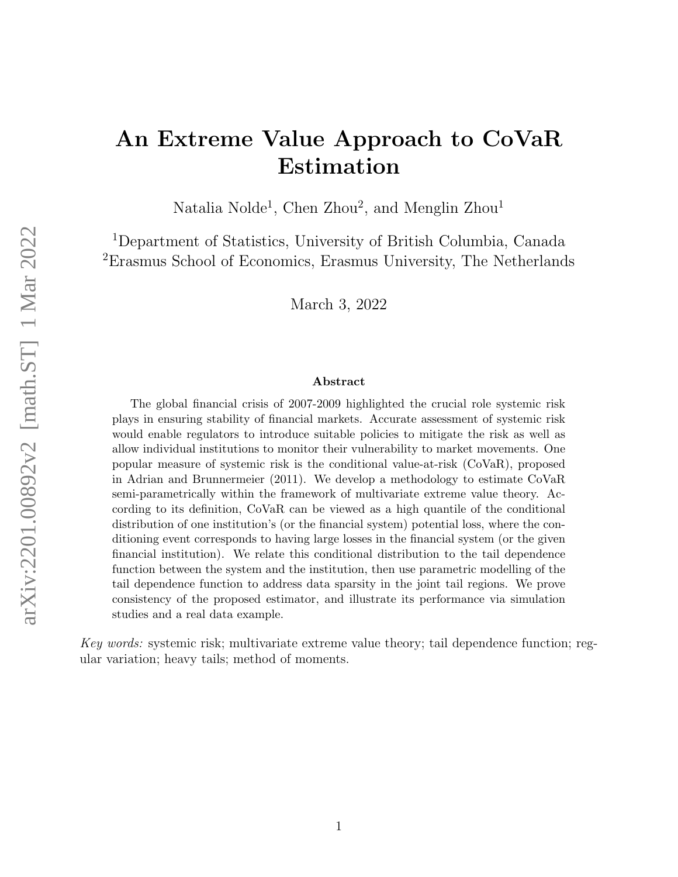# An Extreme Value Approach to CoVaR Estimation

Natalia Nolde<sup>1</sup>, Chen Zhou<sup>2</sup>, and Menglin Zhou<sup>1</sup>

<sup>1</sup>Department of Statistics, University of British Columbia, Canada <sup>2</sup>Erasmus School of Economics, Erasmus University, The Netherlands

March 3, 2022

#### Abstract

The global financial crisis of 2007-2009 highlighted the crucial role systemic risk plays in ensuring stability of financial markets. Accurate assessment of systemic risk would enable regulators to introduce suitable policies to mitigate the risk as well as allow individual institutions to monitor their vulnerability to market movements. One popular measure of systemic risk is the conditional value-at-risk (CoVaR), proposed in Adrian and Brunnermeier (2011). We develop a methodology to estimate CoVaR semi-parametrically within the framework of multivariate extreme value theory. According to its definition, CoVaR can be viewed as a high quantile of the conditional distribution of one institution's (or the financial system) potential loss, where the conditioning event corresponds to having large losses in the financial system (or the given financial institution). We relate this conditional distribution to the tail dependence function between the system and the institution, then use parametric modelling of the tail dependence function to address data sparsity in the joint tail regions. We prove consistency of the proposed estimator, and illustrate its performance via simulation studies and a real data example.

Key words: systemic risk; multivariate extreme value theory; tail dependence function; regular variation; heavy tails; method of moments.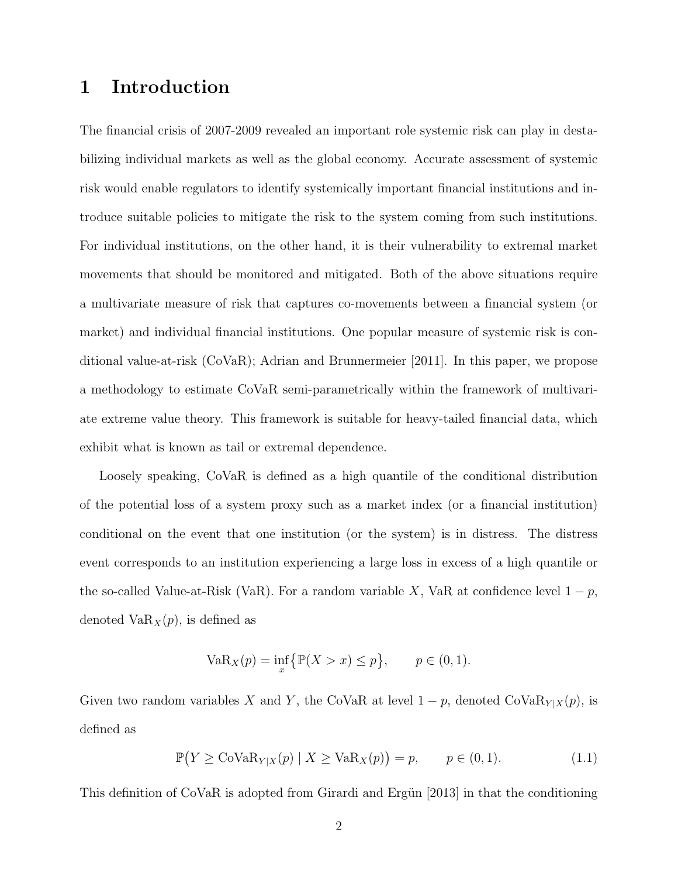# 1 Introduction

The financial crisis of 2007-2009 revealed an important role systemic risk can play in destabilizing individual markets as well as the global economy. Accurate assessment of systemic risk would enable regulators to identify systemically important financial institutions and introduce suitable policies to mitigate the risk to the system coming from such institutions. For individual institutions, on the other hand, it is their vulnerability to extremal market movements that should be monitored and mitigated. Both of the above situations require a multivariate measure of risk that captures co-movements between a financial system (or market) and individual financial institutions. One popular measure of systemic risk is conditional value-at-risk (CoVaR); [Adrian and Brunnermeier \[2011\]](#page-32-0). In this paper, we propose a methodology to estimate CoVaR semi-parametrically within the framework of multivariate extreme value theory. This framework is suitable for heavy-tailed financial data, which exhibit what is known as tail or extremal dependence.

Loosely speaking, CoVaR is defined as a high quantile of the conditional distribution of the potential loss of a system proxy such as a market index (or a financial institution) conditional on the event that one institution (or the system) is in distress. The distress event corresponds to an institution experiencing a large loss in excess of a high quantile or the so-called Value-at-Risk (VaR). For a random variable X, VaR at confidence level  $1 - p$ , denoted  $VaR_X(p)$ , is defined as

VaR<sub>X</sub>(p) = 
$$
\inf_{x} \{ \mathbb{P}(X > x) \le p \}, \quad p \in (0, 1).
$$

Given two random variables X and Y, the CoVaR at level  $1 - p$ , denoted CoVa $\text{R}_{Y|X}(p)$ , is defined as

<span id="page-1-0"></span>
$$
\mathbb{P}(Y \geq \text{CoVaR}_{Y|X}(p) \mid X \geq \text{VaR}_{X}(p)) = p, \qquad p \in (0,1). \tag{1.1}
$$

This definition of CoVaR is adopted from Girardi and Ergün [2013] in that the conditioning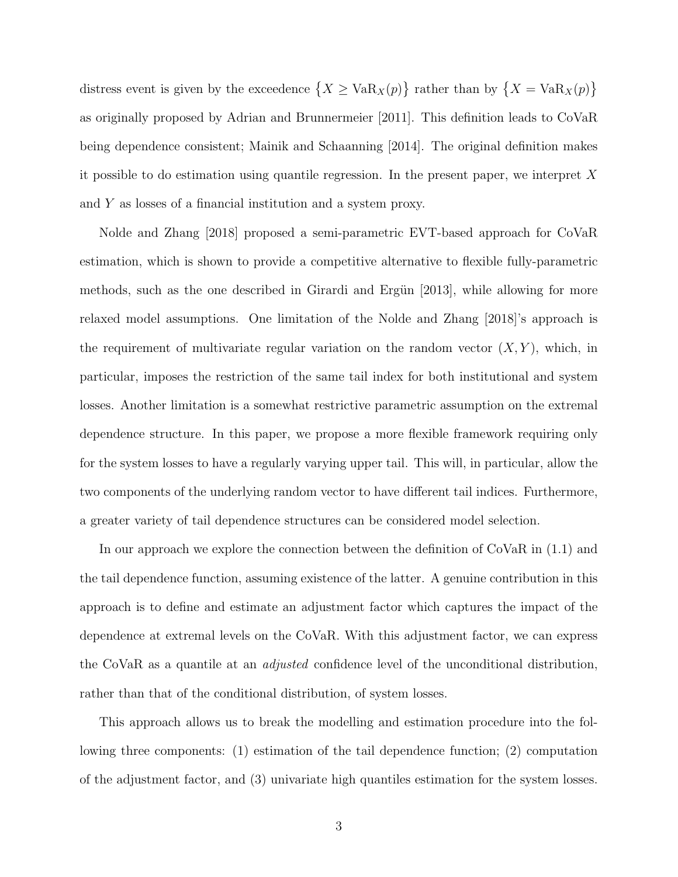distress event is given by the exceedence  $\{X \geq \text{VaR}_X(p)\}\$  rather than by  $\{X = \text{VaR}_X(p)\}\$ as originally proposed by [Adrian and Brunnermeier \[2011\]](#page-32-0). This definition leads to CoVaR being dependence consistent; [Mainik and Schaanning \[2014\]](#page-33-0). The original definition makes it possible to do estimation using quantile regression. In the present paper, we interpret  $X$ and Y as losses of a financial institution and a system proxy.

[Nolde and Zhang \[2018\]](#page-33-1) proposed a semi-parametric EVT-based approach for CoVaR estimation, which is shown to provide a competitive alternative to flexible fully-parametric methods, such as the one described in Girardi and Ergün  $[2013]$ , while allowing for more relaxed model assumptions. One limitation of the [Nolde and Zhang \[2018\]](#page-33-1)'s approach is the requirement of multivariate regular variation on the random vector  $(X, Y)$ , which, in particular, imposes the restriction of the same tail index for both institutional and system losses. Another limitation is a somewhat restrictive parametric assumption on the extremal dependence structure. In this paper, we propose a more flexible framework requiring only for the system losses to have a regularly varying upper tail. This will, in particular, allow the two components of the underlying random vector to have different tail indices. Furthermore, a greater variety of tail dependence structures can be considered model selection.

In our approach we explore the connection between the definition of CoVaR in [\(1.1\)](#page-1-0) and the tail dependence function, assuming existence of the latter. A genuine contribution in this approach is to define and estimate an adjustment factor which captures the impact of the dependence at extremal levels on the CoVaR. With this adjustment factor, we can express the CoVaR as a quantile at an adjusted confidence level of the unconditional distribution, rather than that of the conditional distribution, of system losses.

This approach allows us to break the modelling and estimation procedure into the following three components: (1) estimation of the tail dependence function; (2) computation of the adjustment factor, and (3) univariate high quantiles estimation for the system losses.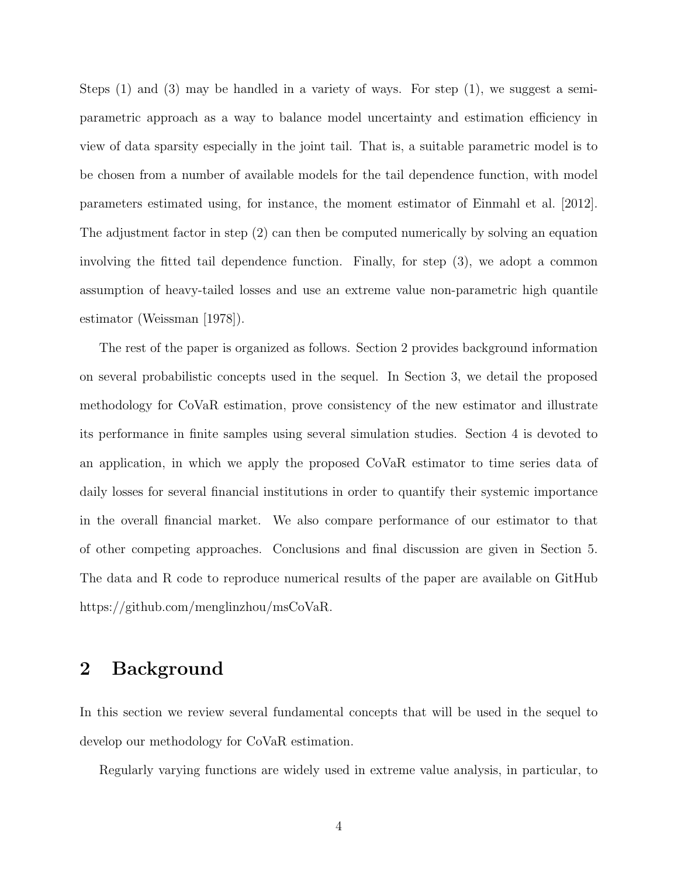Steps (1) and (3) may be handled in a variety of ways. For step (1), we suggest a semiparametric approach as a way to balance model uncertainty and estimation efficiency in view of data sparsity especially in the joint tail. That is, a suitable parametric model is to be chosen from a number of available models for the tail dependence function, with model parameters estimated using, for instance, the moment estimator of [Einmahl et al. \[2012\]](#page-32-2). The adjustment factor in step (2) can then be computed numerically by solving an equation involving the fitted tail dependence function. Finally, for step (3), we adopt a common assumption of heavy-tailed losses and use an extreme value non-parametric high quantile estimator [\(Weissman \[1978\]](#page-34-0)).

The rest of the paper is organized as follows. Section [2](#page-3-0) provides background information on several probabilistic concepts used in the sequel. In Section [3,](#page-5-0) we detail the proposed methodology for CoVaR estimation, prove consistency of the new estimator and illustrate its performance in finite samples using several simulation studies. Section [4](#page-20-0) is devoted to an application, in which we apply the proposed CoVaR estimator to time series data of daily losses for several financial institutions in order to quantify their systemic importance in the overall financial market. We also compare performance of our estimator to that of other competing approaches. Conclusions and final discussion are given in Section [5.](#page-27-0) The data and R code to reproduce numerical results of the paper are available on GitHub [https://github.com/menglinzhou/msCoVaR.](https://github.com/menglinzhou/msCoVaR)

### <span id="page-3-0"></span>2 Background

In this section we review several fundamental concepts that will be used in the sequel to develop our methodology for CoVaR estimation.

Regularly varying functions are widely used in extreme value analysis, in particular, to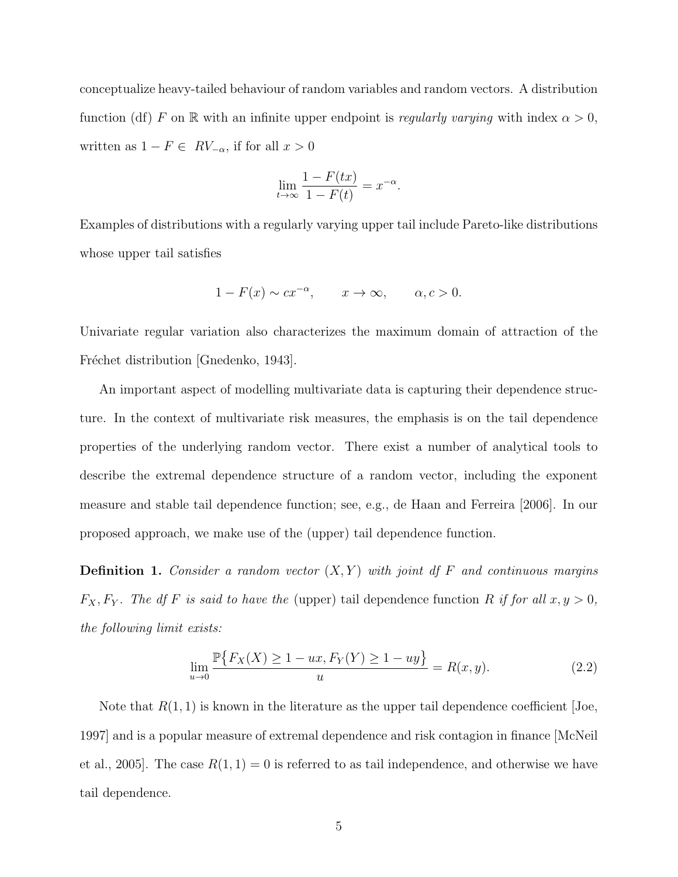conceptualize heavy-tailed behaviour of random variables and random vectors. A distribution function (df) F on R with an infinite upper endpoint is regularly varying with index  $\alpha > 0$ , written as  $1 - F \in RV_{-\alpha}$ , if for all  $x > 0$ 

$$
\lim_{t \to \infty} \frac{1 - F(tx)}{1 - F(t)} = x^{-\alpha}.
$$

Examples of distributions with a regularly varying upper tail include Pareto-like distributions whose upper tail satisfies

$$
1 - F(x) \sim cx^{-\alpha}, \qquad x \to \infty, \qquad \alpha, c > 0.
$$

Univariate regular variation also characterizes the maximum domain of attraction of the Fréchet distribution [\[Gnedenko, 1943\]](#page-33-2).

An important aspect of modelling multivariate data is capturing their dependence structure. In the context of multivariate risk measures, the emphasis is on the tail dependence properties of the underlying random vector. There exist a number of analytical tools to describe the extremal dependence structure of a random vector, including the exponent measure and stable tail dependence function; see, e.g., [de Haan and Ferreira \[2006\]](#page-32-3). In our proposed approach, we make use of the (upper) tail dependence function.

**Definition 1.** Consider a random vector  $(X, Y)$  with joint df F and continuous margins  $F_X, F_Y$ . The df F is said to have the (upper) tail dependence function R if for all  $x, y > 0$ , the following limit exists:

<span id="page-4-0"></span>
$$
\lim_{u \to 0} \frac{\mathbb{P}\{F_X(X) \ge 1 - ux, F_Y(Y) \ge 1 - uy\}}{u} = R(x, y).
$$
\n(2.2)

Note that  $R(1,1)$  is known in the literature as the upper tail dependence coefficient  $|Joe|$ , [1997\]](#page-33-3) and is a popular measure of extremal dependence and risk contagion in finance [\[McNeil](#page-33-4) [et al., 2005\]](#page-33-4). The case  $R(1, 1) = 0$  is referred to as tail independence, and otherwise we have tail dependence.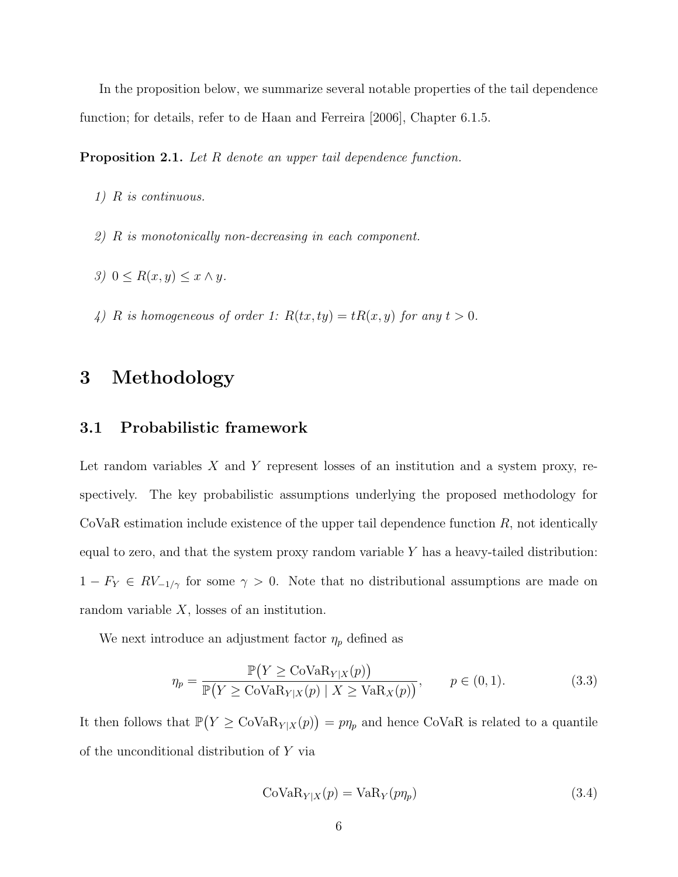In the proposition below, we summarize several notable properties of the tail dependence function; for details, refer to [de Haan and Ferreira \[2006\]](#page-32-3), Chapter 6.1.5.

<span id="page-5-3"></span>Proposition 2.1. Let R denote an upper tail dependence function.

- 1) R is continuous.
- 2) R is monotonically non-decreasing in each component.
- 3)  $0 \leq R(x, y) \leq x \wedge y$ .
- 4) R is homogeneous of order 1:  $R(tx, ty) = tR(x, y)$  for any  $t > 0$ .

### <span id="page-5-0"></span>3 Methodology

#### <span id="page-5-4"></span>3.1 Probabilistic framework

Let random variables  $X$  and  $Y$  represent losses of an institution and a system proxy, respectively. The key probabilistic assumptions underlying the proposed methodology for  $CoVaR$  estimation include existence of the upper tail dependence function  $R$ , not identically equal to zero, and that the system proxy random variable  $Y$  has a heavy-tailed distribution:  $1 - F_Y \in RV_{-1/\gamma}$  for some  $\gamma > 0$ . Note that no distributional assumptions are made on random variable  $X$ , losses of an institution.

We next introduce an adjustment factor  $\eta_p$  defined as

<span id="page-5-2"></span>
$$
\eta_p = \frac{\mathbb{P}(Y \ge \text{CoVaR}_{Y|X}(p))}{\mathbb{P}(Y \ge \text{CoVaR}_{Y|X}(p) \mid X \ge \text{VaR}_X(p))}, \qquad p \in (0, 1). \tag{3.3}
$$

It then follows that  $\mathbb{P}(Y \geq \text{CovaR}_{Y|X}(p)) = p\eta_p$  and hence CoVaR is related to a quantile of the unconditional distribution of Y via

<span id="page-5-1"></span>
$$
CoVaR_{Y|X}(p) = VaR_Y(p\eta_p)
$$
\n(3.4)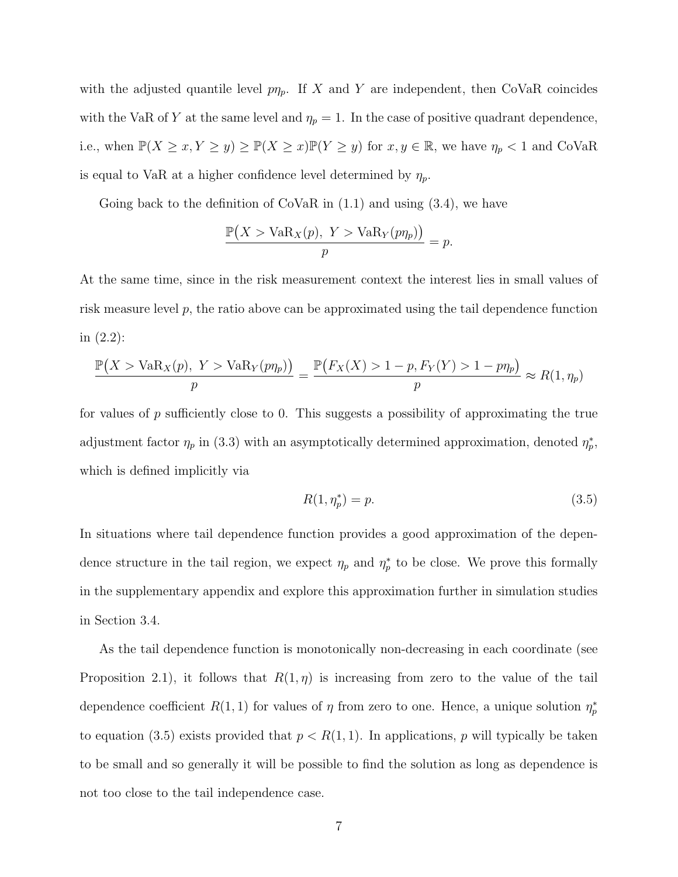with the adjusted quantile level  $p\eta_p$ . If X and Y are independent, then CoVaR coincides with the VaR of Y at the same level and  $\eta_p = 1$ . In the case of positive quadrant dependence, i.e., when  $\mathbb{P}(X \ge x, Y \ge y) \ge \mathbb{P}(X \ge x)\mathbb{P}(Y \ge y)$  for  $x, y \in \mathbb{R}$ , we have  $\eta_p < 1$  and CoVaR is equal to VaR at a higher confidence level determined by  $\eta_p$ .

Going back to the definition of CoVaR in  $(1.1)$  and using  $(3.4)$ , we have

$$
\frac{\mathbb{P}(X > \text{VaR}_X(p), Y > \text{VaR}_Y(p\eta_p))}{p} = p.
$$

At the same time, since in the risk measurement context the interest lies in small values of risk measure level  $p$ , the ratio above can be approximated using the tail dependence function in [\(2.2\)](#page-4-0):

$$
\frac{\mathbb{P}(X > \text{VaR}_X(p), Y > \text{VaR}_Y(p\eta_p))}{p} = \frac{\mathbb{P}(F_X(X) > 1 - p, F_Y(Y) > 1 - p\eta_p)}{p} \approx R(1, \eta_p)
$$

for values of  $p$  sufficiently close to 0. This suggests a possibility of approximating the true adjustment factor  $\eta_p$  in [\(3.3\)](#page-5-2) with an asymptotically determined approximation, denoted  $\eta_p^*$ , which is defined implicitly via

<span id="page-6-0"></span>
$$
R(1, \eta_p^*) = p. \t\t(3.5)
$$

In situations where tail dependence function provides a good approximation of the dependence structure in the tail region, we expect  $\eta_p$  and  $\eta_p^*$  to be close. We prove this formally in the supplementary appendix and explore this approximation further in simulation studies in Section [3.4.](#page-11-0)

As the tail dependence function is monotonically non-decreasing in each coordinate (see Proposition [2.1\)](#page-5-3), it follows that  $R(1,\eta)$  is increasing from zero to the value of the tail dependence coefficient  $R(1,1)$  for values of  $\eta$  from zero to one. Hence, a unique solution  $\eta_p^*$ to equation [\(3.5\)](#page-6-0) exists provided that  $p < R(1, 1)$ . In applications, p will typically be taken to be small and so generally it will be possible to find the solution as long as dependence is not too close to the tail independence case.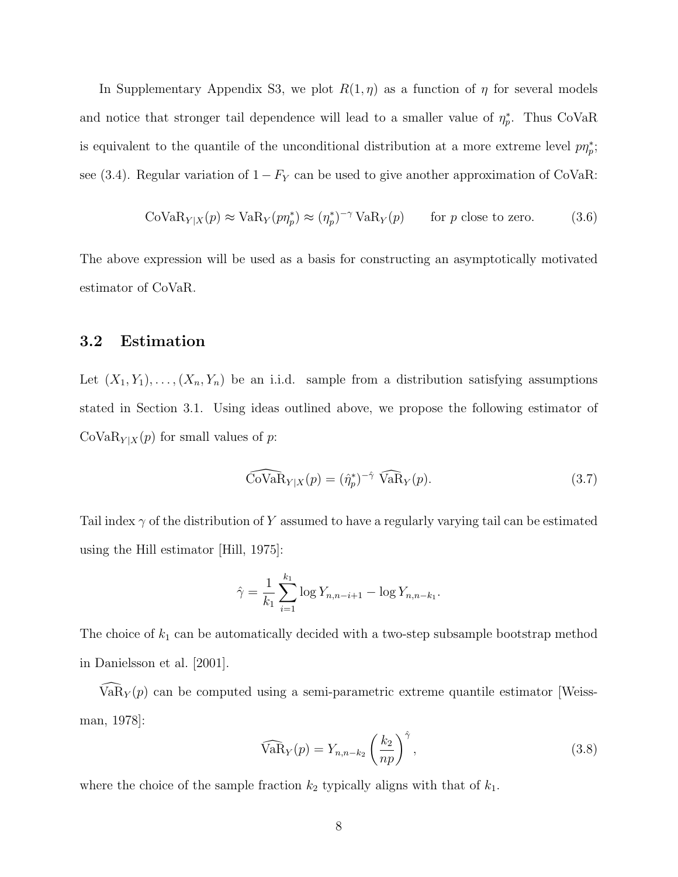In Supplementary Appendix S3, we plot  $R(1, \eta)$  as a function of  $\eta$  for several models and notice that stronger tail dependence will lead to a smaller value of  $\eta_p^*$ . Thus CoVaR is equivalent to the quantile of the unconditional distribution at a more extreme level  $p\eta_p^*$ ; see [\(3.4\)](#page-5-1). Regular variation of  $1 - F_Y$  can be used to give another approximation of CoVaR:

<span id="page-7-2"></span>
$$
CoVaR_{Y|X}(p) \approx VaR_Y(p\eta_p^*) \approx (\eta_p^*)^{-\gamma} VaR_Y(p) \qquad \text{for } p \text{ close to zero.} \tag{3.6}
$$

The above expression will be used as a basis for constructing an asymptotically motivated estimator of CoVaR.

#### 3.2 Estimation

Let  $(X_1, Y_1), \ldots, (X_n, Y_n)$  be an i.i.d. sample from a distribution satisfying assumptions stated in Section [3.1.](#page-5-4) Using ideas outlined above, we propose the following estimator of  $\text{CoVaR}_{Y|X}(p)$  for small values of p:

<span id="page-7-0"></span>
$$
\widehat{\text{Cov}}_{\mathbf{R}_{Y|X}}(p) = (\hat{\eta}_p^*)^{-\hat{\gamma}} \widehat{\text{VaR}}_Y(p). \tag{3.7}
$$

Tail index  $\gamma$  of the distribution of Y assumed to have a regularly varying tail can be estimated using the Hill estimator [\[Hill, 1975\]](#page-33-5):

$$
\hat{\gamma} = \frac{1}{k_1} \sum_{i=1}^{k_1} \log Y_{n,n-i+1} - \log Y_{n,n-k_1}.
$$

The choice of  $k_1$  can be automatically decided with a two-step subsample bootstrap method in [Danielsson et al. \[2001\]](#page-32-4).

 $VaR_Y(p)$  can be computed using a semi-parametric extreme quantile estimator [\[Weiss](#page-34-0)[man, 1978\]](#page-34-0):

<span id="page-7-1"></span>
$$
\widehat{\text{VaR}}_Y(p) = Y_{n,n-k_2} \left(\frac{k_2}{np}\right)^{\hat{\gamma}},\tag{3.8}
$$

where the choice of the sample fraction  $k_2$  typically aligns with that of  $k_1$ .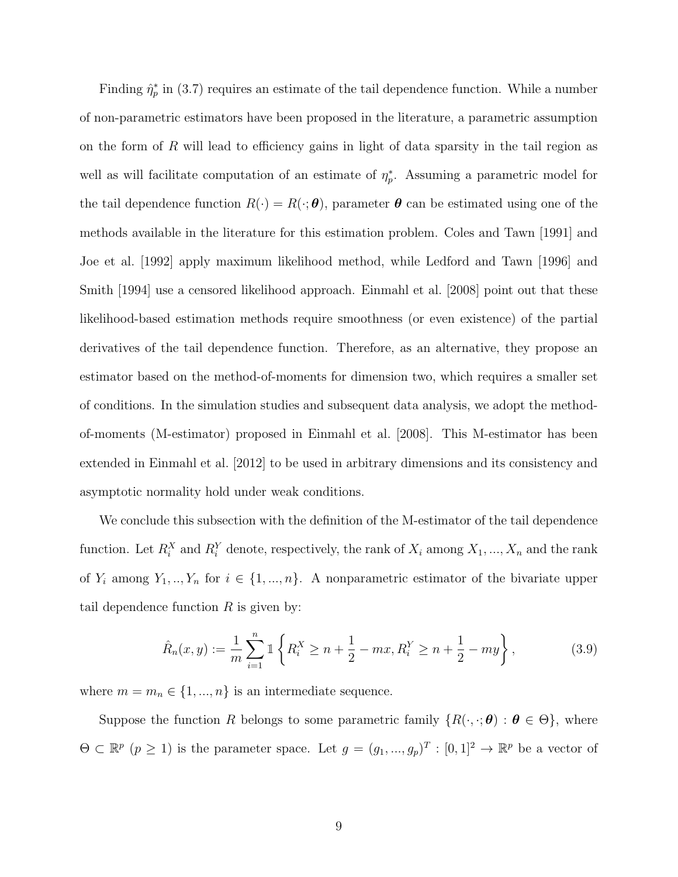Finding  $\hat{\eta}_p^*$  in [\(3.7\)](#page-7-0) requires an estimate of the tail dependence function. While a number of non-parametric estimators have been proposed in the literature, a parametric assumption on the form of  $R$  will lead to efficiency gains in light of data sparsity in the tail region as well as will facilitate computation of an estimate of  $\eta_p^*$ . Assuming a parametric model for the tail dependence function  $R(\cdot) = R(\cdot; \theta)$ , parameter  $\theta$  can be estimated using one of the methods available in the literature for this estimation problem. [Coles and Tawn \[1991\]](#page-32-5) and [Joe et al. \[1992\]](#page-33-6) apply maximum likelihood method, while [Ledford and Tawn \[1996\]](#page-33-7) and [Smith \[1994\]](#page-34-1) use a censored likelihood approach. [Einmahl et al. \[2008\]](#page-32-6) point out that these likelihood-based estimation methods require smoothness (or even existence) of the partial derivatives of the tail dependence function. Therefore, as an alternative, they propose an estimator based on the method-of-moments for dimension two, which requires a smaller set of conditions. In the simulation studies and subsequent data analysis, we adopt the methodof-moments (M-estimator) proposed in [Einmahl et al. \[2008\]](#page-32-6). This M-estimator has been extended in [Einmahl et al. \[2012\]](#page-32-2) to be used in arbitrary dimensions and its consistency and asymptotic normality hold under weak conditions.

We conclude this subsection with the definition of the M-estimator of the tail dependence function. Let  $R_i^X$  and  $R_i^Y$  denote, respectively, the rank of  $X_i$  among  $X_1, ..., X_n$  and the rank of  $Y_i$  among  $Y_1, ..., Y_n$  for  $i \in \{1, ..., n\}$ . A nonparametric estimator of the bivariate upper tail dependence function  $R$  is given by:

<span id="page-8-0"></span>
$$
\hat{R}_n(x,y) := \frac{1}{m} \sum_{i=1}^n \mathbb{1} \left\{ R_i^X \ge n + \frac{1}{2} - mx, R_i^Y \ge n + \frac{1}{2} - my \right\},\tag{3.9}
$$

where  $m = m_n \in \{1, ..., n\}$  is an intermediate sequence.

Suppose the function R belongs to some parametric family  $\{R(\cdot,\cdot;\boldsymbol{\theta}) : \boldsymbol{\theta} \in \Theta\}$ , where  $\Theta \subset \mathbb{R}^p$   $(p \geq 1)$  is the parameter space. Let  $g = (g_1, ..., g_p)^T : [0, 1]^2 \to \mathbb{R}^p$  be a vector of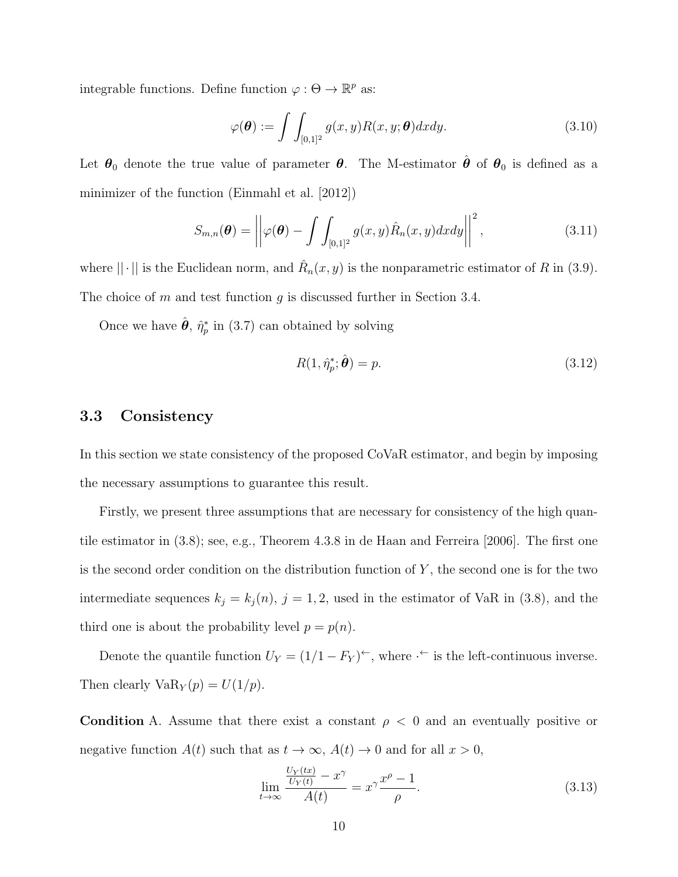integrable functions. Define function  $\varphi : \Theta \to \mathbb{R}^p$  as:

<span id="page-9-0"></span>
$$
\varphi(\boldsymbol{\theta}) := \int \int_{[0,1]^2} g(x,y) R(x,y; \boldsymbol{\theta}) dx dy.
$$
 (3.10)

Let  $\theta_0$  denote the true value of parameter  $\theta$ . The M-estimator  $\hat{\theta}$  of  $\theta_0$  is defined as a minimizer of the function [\(Einmahl et al. \[2012\]](#page-32-2))

$$
S_{m,n}(\boldsymbol{\theta}) = \left| \left| \varphi(\boldsymbol{\theta}) - \int \int_{[0,1]^2} g(x,y) \hat{R}_n(x,y) dx dy \right| \right|^2, \tag{3.11}
$$

where  $\|\cdot\|$  is the Euclidean norm, and  $\hat{R}_n(x, y)$  is the nonparametric estimator of R in [\(3.9\)](#page-8-0). The choice of m and test function g is discussed further in Section [3.4.](#page-11-0)

Once we have  $\hat{\theta}$ ,  $\hat{\eta}_p^*$  in [\(3.7\)](#page-7-0) can obtained by solving

<span id="page-9-1"></span>
$$
R(1, \hat{\eta}_p^*, \hat{\boldsymbol{\theta}}) = p. \tag{3.12}
$$

#### 3.3 Consistency

In this section we state consistency of the proposed CoVaR estimator, and begin by imposing the necessary assumptions to guarantee this result.

Firstly, we present three assumptions that are necessary for consistency of the high quantile estimator in [\(3.8\)](#page-7-1); see, e.g., Theorem 4.3.8 in [de Haan and Ferreira \[2006\]](#page-32-3). The first one is the second order condition on the distribution function of  $Y$ , the second one is for the two intermediate sequences  $k_j = k_j(n)$ ,  $j = 1, 2$ , used in the estimator of VaR in [\(3.8\)](#page-7-1), and the third one is about the probability level  $p = p(n)$ .

Denote the quantile function  $U_Y = (1/1 - F_Y)^{\leftarrow}$ , where  $\cdot^{\leftarrow}$  is the left-continuous inverse. Then clearly  $VaR_Y(p) = U(1/p)$ .

<span id="page-9-2"></span>Condition A. Assume that there exist a constant  $\rho < 0$  and an eventually positive or negative function  $A(t)$  such that as  $t \to \infty$ ,  $A(t) \to 0$  and for all  $x > 0$ ,

$$
\lim_{t \to \infty} \frac{\frac{U_Y(tx)}{U_Y(t)} - x^{\gamma}}{A(t)} = x^{\gamma} \frac{x^{\rho} - 1}{\rho}.
$$
\n(3.13)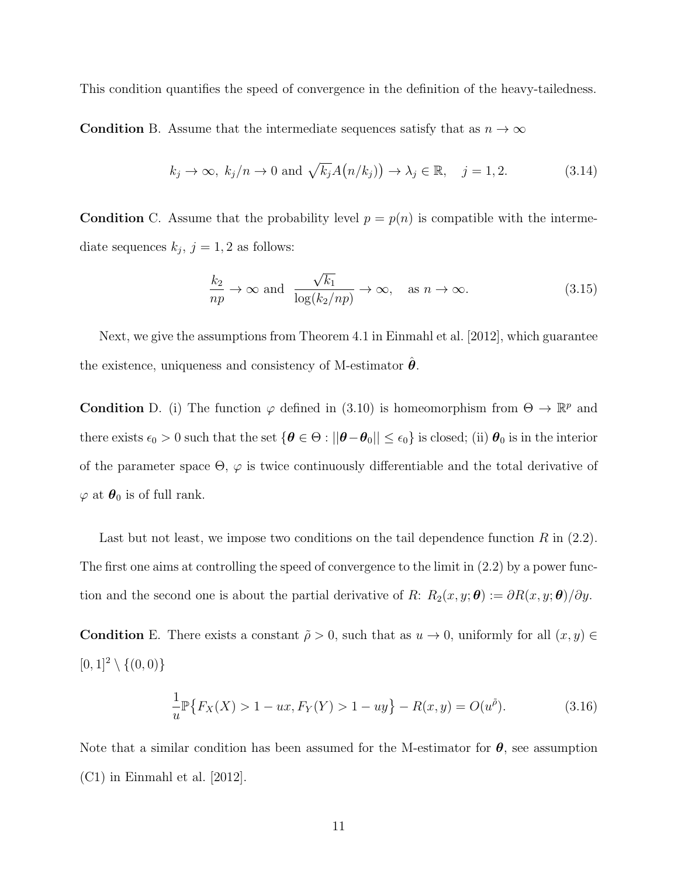This condition quantifies the speed of convergence in the definition of the heavy-tailedness.

**Condition** B. Assume that the intermediate sequences satisfy that as  $n \to \infty$ 

$$
k_j \to \infty
$$
,  $k_j/n \to 0$  and  $\sqrt{k_j}A(n/k_j) \to \lambda_j \in \mathbb{R}$ ,  $j = 1, 2$ . (3.14)

**Condition** C. Assume that the probability level  $p = p(n)$  is compatible with the intermediate sequences  $k_j$ ,  $j = 1, 2$  as follows:

$$
\frac{k_2}{np} \to \infty \text{ and } \frac{\sqrt{k_1}}{\log(k_2/np)} \to \infty, \text{ as } n \to \infty.
$$
 (3.15)

Next, we give the assumptions from Theorem 4.1 in [Einmahl et al. \[2012\]](#page-32-2), which guarantee the existence, uniqueness and consistency of M-estimator  $\hat{\theta}$ .

**Condition** D. (i) The function  $\varphi$  defined in [\(3.10\)](#page-9-0) is homeomorphism from  $\Theta \to \mathbb{R}^p$  and there exists  $\epsilon_0 > 0$  such that the set  $\{\theta \in \Theta : ||\theta - \theta_0|| \leq \epsilon_0\}$  is closed; (ii)  $\theta_0$  is in the interior of the parameter space  $\Theta$ ,  $\varphi$  is twice continuously differentiable and the total derivative of  $\varphi$  at  $\theta_0$  is of full rank.

Last but not least, we impose two conditions on the tail dependence function  $R$  in [\(2.2\)](#page-4-0). The first one aims at controlling the speed of convergence to the limit in [\(2.2\)](#page-4-0) by a power function and the second one is about the partial derivative of R:  $R_2(x, y; \theta) := \partial R(x, y; \theta) / \partial y$ .

<span id="page-10-0"></span>**Condition** E. There exists a constant  $\tilde{\rho} > 0$ , such that as  $u \to 0$ , uniformly for all  $(x, y) \in$  $[0, 1]^2 \setminus \{(0, 0)\}\$ 

$$
\frac{1}{u}\mathbb{P}\{F_X(X) > 1 - ux, F_Y(Y) > 1 - uy\} - R(x, y) = O(u^{\tilde{\rho}}). \tag{3.16}
$$

Note that a similar condition has been assumed for the M-estimator for  $\theta$ , see assumption (C1) in [Einmahl et al. \[2012\]](#page-32-2).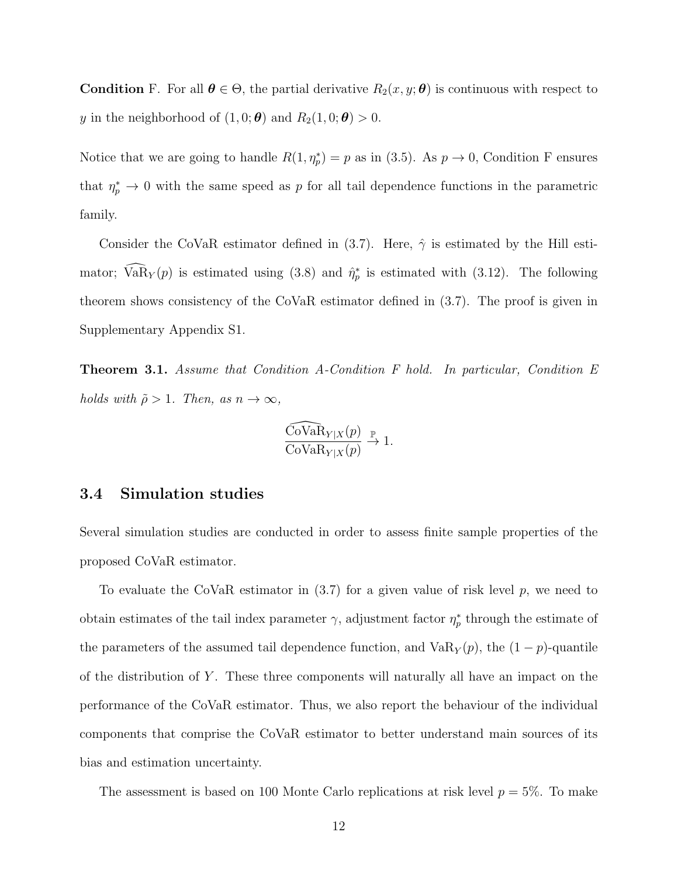<span id="page-11-1"></span>**Condition** F. For all  $\theta \in \Theta$ , the partial derivative  $R_2(x, y; \theta)$  is continuous with respect to y in the neighborhood of  $(1, 0; \theta)$  and  $R_2(1, 0; \theta) > 0$ .

Notice that we are going to handle  $R(1, \eta_p^*) = p$  as in [\(3.5\)](#page-6-0). As  $p \to 0$ , [Condition F](#page-11-1) ensures that  $\eta_p^* \to 0$  with the same speed as p for all tail dependence functions in the parametric family.

Consider the CoVaR estimator defined in [\(3.7\)](#page-7-0). Here,  $\hat{\gamma}$  is estimated by the Hill estimator;  $\widehat{VaR}_Y(p)$  is estimated using [\(3.8\)](#page-7-1) and  $\hat{\eta}_p^*$  is estimated with [\(3.12\)](#page-9-1). The following theorem shows consistency of the CoVaR estimator defined in [\(3.7\)](#page-7-0). The proof is given in Supplementary Appendix S1.

<span id="page-11-2"></span>Theorem 3.1. Assume that [Condition A-](#page-9-2)[Condition F](#page-11-1) hold. In particular, [Condition E](#page-10-0) holds with  $\tilde{\rho} > 1$ . Then, as  $n \to \infty$ ,

$$
\frac{\widehat{\text{CoVaR}}_{Y|X}(p)}{\text{CoVaR}_{Y|X}(p)} \xrightarrow{\mathbb{P}} 1.
$$

#### <span id="page-11-0"></span>3.4 Simulation studies

Several simulation studies are conducted in order to assess finite sample properties of the proposed CoVaR estimator.

To evaluate the CoVaR estimator in  $(3.7)$  for a given value of risk level p, we need to obtain estimates of the tail index parameter  $\gamma$ , adjustment factor  $\eta_p^*$  through the estimate of the parameters of the assumed tail dependence function, and  $VaR_Y(p)$ , the  $(1-p)$ -quantile of the distribution of  $Y$ . These three components will naturally all have an impact on the performance of the CoVaR estimator. Thus, we also report the behaviour of the individual components that comprise the CoVaR estimator to better understand main sources of its bias and estimation uncertainty.

The assessment is based on 100 Monte Carlo replications at risk level  $p = 5\%$ . To make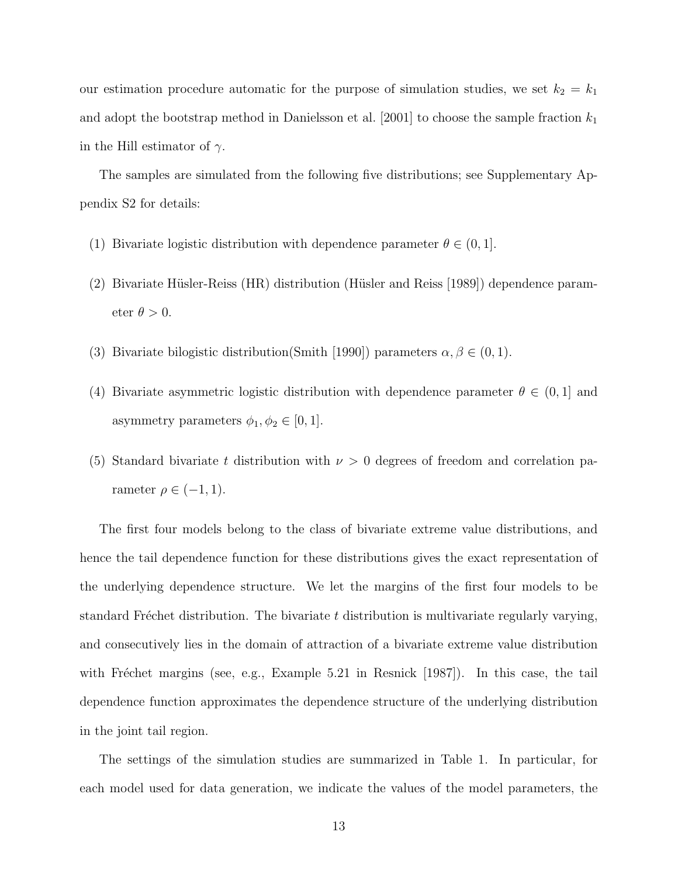our estimation procedure automatic for the purpose of simulation studies, we set  $k_2 = k_1$ and adopt the bootstrap method in [Danielsson et al. \[2001\]](#page-32-4) to choose the sample fraction  $k_1$ in the Hill estimator of  $\gamma$ .

The samples are simulated from the following five distributions; see Supplementary Appendix S2 for details:

- (1) Bivariate logistic distribution with dependence parameter  $\theta \in (0, 1]$ .
- (2) Bivariate Hüsler-Reiss (HR) distribution (Hüsler and Reiss [1989]) dependence parameter  $\theta > 0$ .
- (3) Bivariate bilogistic distribution[\(Smith \[1990\]](#page-34-2)) parameters  $\alpha, \beta \in (0, 1)$ .
- (4) Bivariate asymmetric logistic distribution with dependence parameter  $\theta \in (0,1]$  and asymmetry parameters  $\phi_1, \phi_2 \in [0, 1]$ .
- (5) Standard bivariate t distribution with  $\nu > 0$  degrees of freedom and correlation parameter  $\rho \in (-1, 1)$ .

The first four models belong to the class of bivariate extreme value distributions, and hence the tail dependence function for these distributions gives the exact representation of the underlying dependence structure. We let the margins of the first four models to be standard Fréchet distribution. The bivariate  $t$  distribution is multivariate regularly varying, and consecutively lies in the domain of attraction of a bivariate extreme value distribution with Fréchet margins (see, e.g., Example 5.21 in Resnick  $[1987]$ ). In this case, the tail dependence function approximates the dependence structure of the underlying distribution in the joint tail region.

The settings of the simulation studies are summarized in Table [1.](#page-14-0) In particular, for each model used for data generation, we indicate the values of the model parameters, the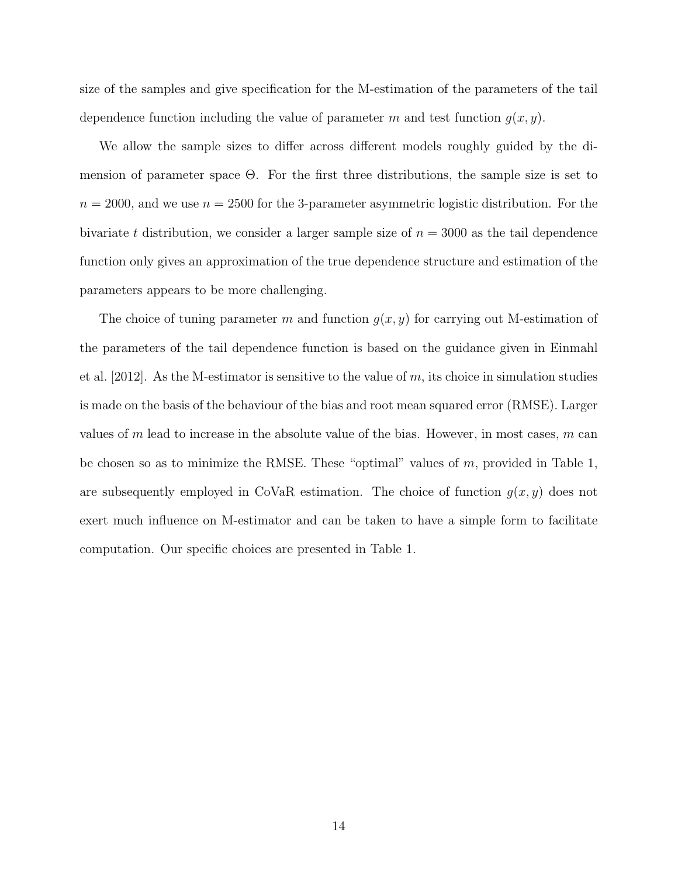size of the samples and give specification for the M-estimation of the parameters of the tail dependence function including the value of parameter m and test function  $g(x, y)$ .

We allow the sample sizes to differ across different models roughly guided by the dimension of parameter space Θ. For the first three distributions, the sample size is set to  $n = 2000$ , and we use  $n = 2500$  for the 3-parameter asymmetric logistic distribution. For the bivariate t distribution, we consider a larger sample size of  $n = 3000$  as the tail dependence function only gives an approximation of the true dependence structure and estimation of the parameters appears to be more challenging.

The choice of tuning parameter m and function  $g(x, y)$  for carrying out M-estimation of the parameters of the tail dependence function is based on the guidance given in [Einmahl](#page-32-2) [et al. \[2012\]](#page-32-2). As the M-estimator is sensitive to the value of  $m$ , its choice in simulation studies is made on the basis of the behaviour of the bias and root mean squared error (RMSE). Larger values of m lead to increase in the absolute value of the bias. However, in most cases,  $m$  can be chosen so as to minimize the RMSE. These "optimal" values of  $m$ , provided in Table [1,](#page-14-0) are subsequently employed in CoVaR estimation. The choice of function  $g(x, y)$  does not exert much influence on M-estimator and can be taken to have a simple form to facilitate computation. Our specific choices are presented in Table [1.](#page-14-0)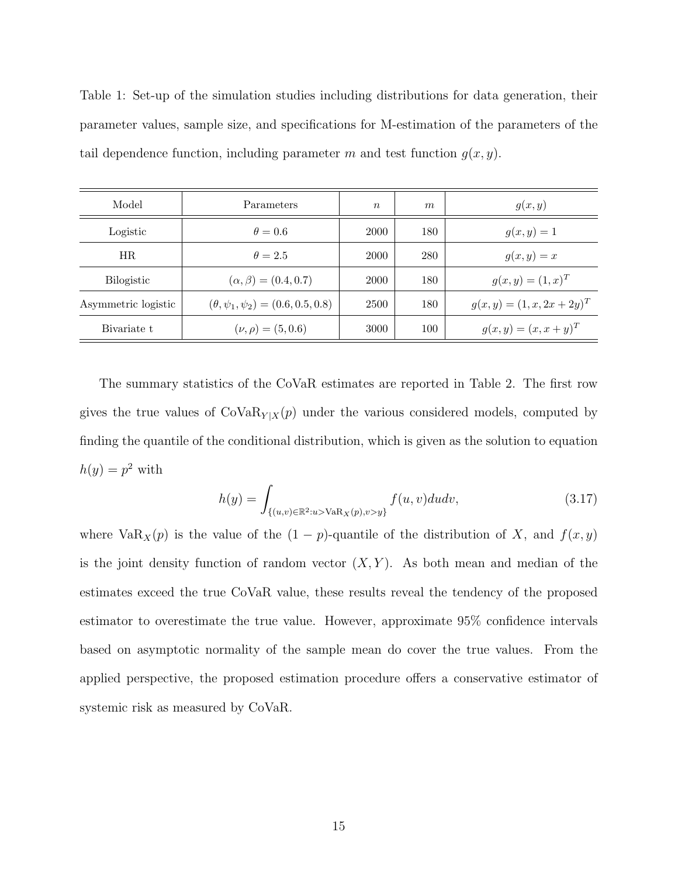<span id="page-14-0"></span>Table 1: Set-up of the simulation studies including distributions for data generation, their parameter values, sample size, and specifications for M-estimation of the parameters of the tail dependence function, including parameter m and test function  $g(x, y)$ .

| Model               | Parameters                                   | $\boldsymbol{n}$ | $\boldsymbol{m}$ | g(x,y)                       |
|---------------------|----------------------------------------------|------------------|------------------|------------------------------|
| Logistic            | $\theta = 0.6$                               | 2000             | 180              | $g(x, y) = 1$                |
| HR.                 | $\theta = 2.5$                               | 2000             | 280              | $g(x,y)=x$                   |
| <b>Bilogistic</b>   | $(\alpha, \beta) = (0.4, 0.7)$               | 2000             | 180              | $g(x,y) = (1,x)^T$           |
| Asymmetric logistic | $(\theta, \psi_1, \psi_2) = (0.6, 0.5, 0.8)$ | 2500             | 180              | $g(x,y) = (1, x, 2x + 2y)^T$ |
| Bivariate t         | $(\nu, \rho) = (5, 0.6)$                     | 3000             | 100              | $g(x, y) = (x, x + y)^{T}$   |

The summary statistics of the CoVaR estimates are reported in Table [2.](#page-15-0) The first row gives the true values of  $\text{CoVaR}_{Y|X}(p)$  under the various considered models, computed by finding the quantile of the conditional distribution, which is given as the solution to equation  $h(y) = p^2$  with

$$
h(y) = \int_{\{(u,v)\in\mathbb{R}^2:u> \text{VaR}_X(p), v>y\}} f(u,v)dudv,
$$
\n(3.17)

where Va $\text{R}_{X}(p)$  is the value of the  $(1 - p)$ -quantile of the distribution of X, and  $f(x, y)$ is the joint density function of random vector  $(X, Y)$ . As both mean and median of the estimates exceed the true CoVaR value, these results reveal the tendency of the proposed estimator to overestimate the true value. However, approximate 95% confidence intervals based on asymptotic normality of the sample mean do cover the true values. From the applied perspective, the proposed estimation procedure offers a conservative estimator of systemic risk as measured by CoVaR.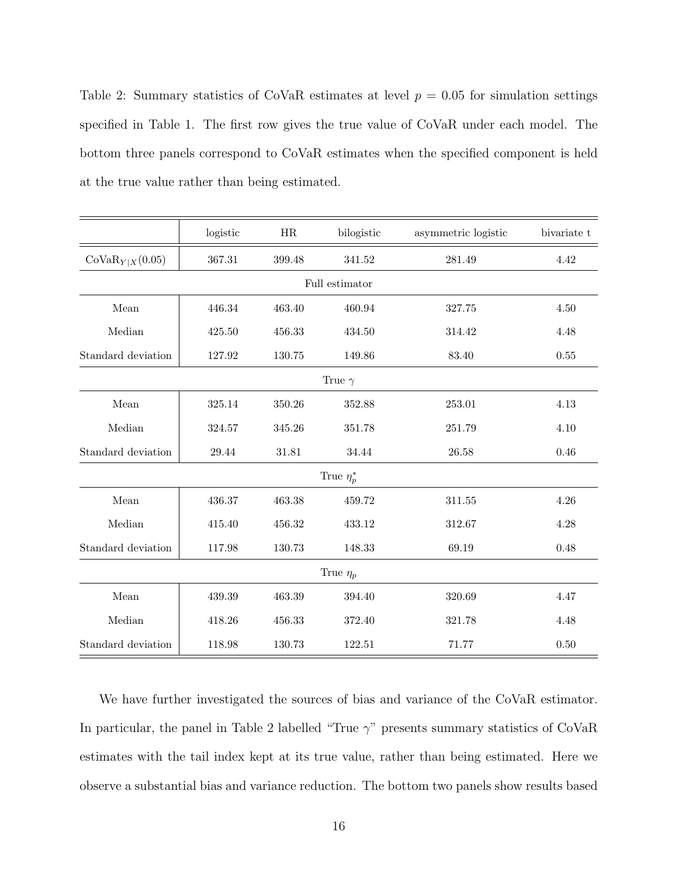<span id="page-15-0"></span>Table 2: Summary statistics of CoVaR estimates at level  $p = 0.05$  for simulation settings specified in Table [1.](#page-14-0) The first row gives the true value of CoVaR under each model. The bottom three panels correspond to CoVaR estimates when the specified component is held at the true value rather than being estimated.

|                     | logistic | HR     | bilogistic      | asymmetric logistic | bivariate t |  |  |  |  |  |
|---------------------|----------|--------|-----------------|---------------------|-------------|--|--|--|--|--|
| $CoVaR_{Y X}(0.05)$ | 367.31   | 399.48 | 341.52          | 281.49              | 4.42        |  |  |  |  |  |
|                     |          |        | Full estimator  |                     |             |  |  |  |  |  |
| Mean                | 446.34   | 463.40 | 460.94          | 327.75              | 4.50        |  |  |  |  |  |
| Median              | 425.50   | 456.33 | 434.50          | 314.42              | 4.48        |  |  |  |  |  |
| Standard deviation  | 127.92   | 130.75 | 149.86          | 83.40               | 0.55        |  |  |  |  |  |
|                     |          |        | True $\gamma$   |                     |             |  |  |  |  |  |
| Mean                | 325.14   | 350.26 | 352.88          | 253.01              | 4.13        |  |  |  |  |  |
| Median              | 324.57   | 345.26 | 351.78          | 251.79              | 4.10        |  |  |  |  |  |
| Standard deviation  | 29.44    | 31.81  | 34.44           | 26.58               | 0.46        |  |  |  |  |  |
|                     |          |        | True $\eta_p^*$ |                     |             |  |  |  |  |  |
| Mean                | 436.37   | 463.38 | 459.72          | $311.55\,$          | 4.26        |  |  |  |  |  |
| Median              | 415.40   | 456.32 | 433.12          | 312.67              | 4.28        |  |  |  |  |  |
| Standard deviation  | 117.98   | 130.73 | 148.33          | 69.19               | 0.48        |  |  |  |  |  |
| True $\eta_p$       |          |        |                 |                     |             |  |  |  |  |  |
| Mean                | 439.39   | 463.39 | 394.40          | 320.69              | 4.47        |  |  |  |  |  |
| Median              | 418.26   | 456.33 | 372.40          | 321.78              | 4.48        |  |  |  |  |  |
| Standard deviation  | 118.98   | 130.73 | 122.51          | 71.77               | 0.50        |  |  |  |  |  |

We have further investigated the sources of bias and variance of the CoVaR estimator. In particular, the panel in Table [2](#page-15-0) labelled "True  $\gamma$ " presents summary statistics of CoVaR estimates with the tail index kept at its true value, rather than being estimated. Here we observe a substantial bias and variance reduction. The bottom two panels show results based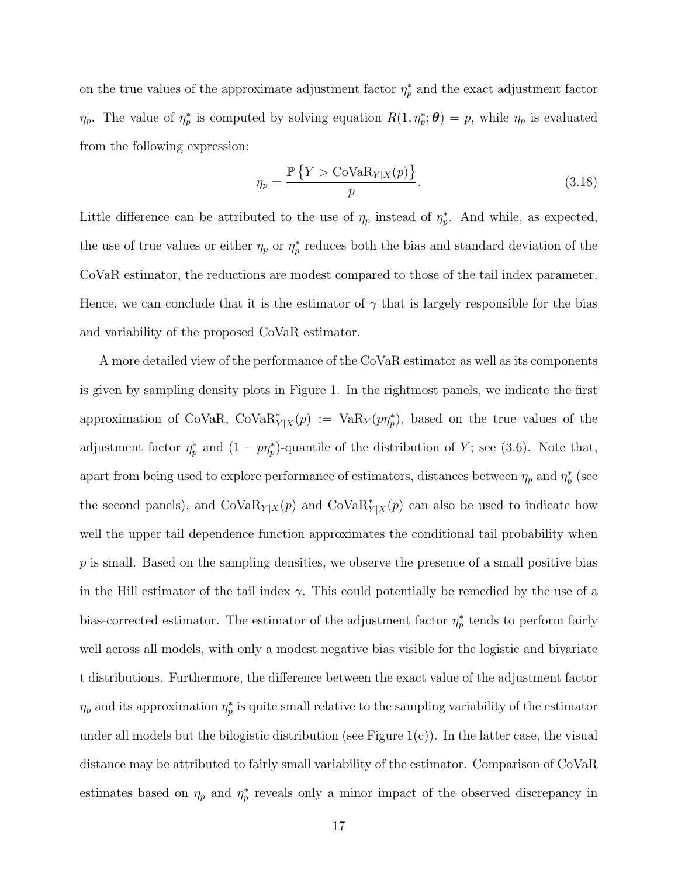on the true values of the approximate adjustment factor  $\eta_p^*$  and the exact adjustment factor  $\eta_p$ . The value of  $\eta_p^*$  is computed by solving equation  $R(1, \eta_p^*; \theta) = p$ , while  $\eta_p$  is evaluated from the following expression:

$$
\eta_p = \frac{\mathbb{P}\left\{Y > \text{CoVaR}_{Y|X}(p)\right\}}{p}.\tag{3.18}
$$

Little difference can be attributed to the use of  $\eta_p$  instead of  $\eta_p^*$ . And while, as expected, the use of true values or either  $\eta_p$  or  $\eta_p^*$  reduces both the bias and standard deviation of the CoVaR estimator, the reductions are modest compared to those of the tail index parameter. Hence, we can conclude that it is the estimator of  $\gamma$  that is largely responsible for the bias and variability of the proposed CoVaR estimator.

A more detailed view of the performance of the CoVaR estimator as well as its components is given by sampling density plots in Figure [1.](#page-18-0) In the rightmost panels, we indicate the first approximation of CoVaR, CoVa $\mathrm{R}_{Y|X}^*(p) := \mathrm{VaR}_Y(p\eta_p^*)$ , based on the true values of the adjustment factor  $\eta_p^*$  and  $(1 - p\eta_p^*)$ -quantile of the distribution of Y; see [\(3.6\)](#page-7-2). Note that, apart from being used to explore performance of estimators, distances between  $\eta_p$  and  $\eta_p^*$  (see the second panels), and  $\text{CoVaR}_{Y|X}(p)$  and  $\text{CoVaR}_{Y|X}(p)$  can also be used to indicate how well the upper tail dependence function approximates the conditional tail probability when  $p$  is small. Based on the sampling densities, we observe the presence of a small positive bias in the Hill estimator of the tail index  $\gamma$ . This could potentially be remedied by the use of a bias-corrected estimator. The estimator of the adjustment factor  $\eta_p^*$  tends to perform fairly well across all models, with only a modest negative bias visible for the logistic and bivariate t distributions. Furthermore, the difference between the exact value of the adjustment factor  $\eta_p$  and its approximation  $\eta_p^*$  is quite small relative to the sampling variability of the estimator under all models but the bilogistic distribution (see Figure  $1(c)$ ). In the latter case, the visual distance may be attributed to fairly small variability of the estimator. Comparison of CoVaR estimates based on  $\eta_p$  and  $\eta_p^*$  reveals only a minor impact of the observed discrepancy in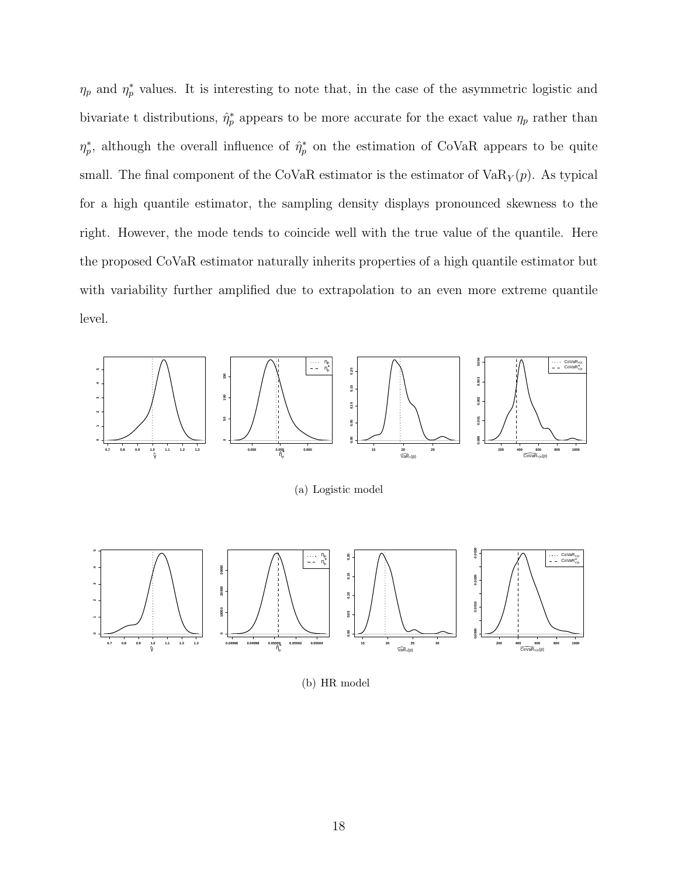$\eta_p$  and  $\eta_p^*$  values. It is interesting to note that, in the case of the asymmetric logistic and bivariate t distributions,  $\hat{\eta}_p^*$  appears to be more accurate for the exact value  $\eta_p$  rather than  $\eta_p^*$ , although the overall influence of  $\hat{\eta}_p^*$  on the estimation of CoVaR appears to be quite small. The final component of the CoVaR estimator is the estimator of  $VaR_Y(p)$ . As typical for a high quantile estimator, the sampling density displays pronounced skewness to the right. However, the mode tends to coincide well with the true value of the quantile. Here the proposed CoVaR estimator naturally inherits properties of a high quantile estimator but with variability further amplified due to extrapolation to an even more extreme quantile level.



(a) Logistic model



(b) HR model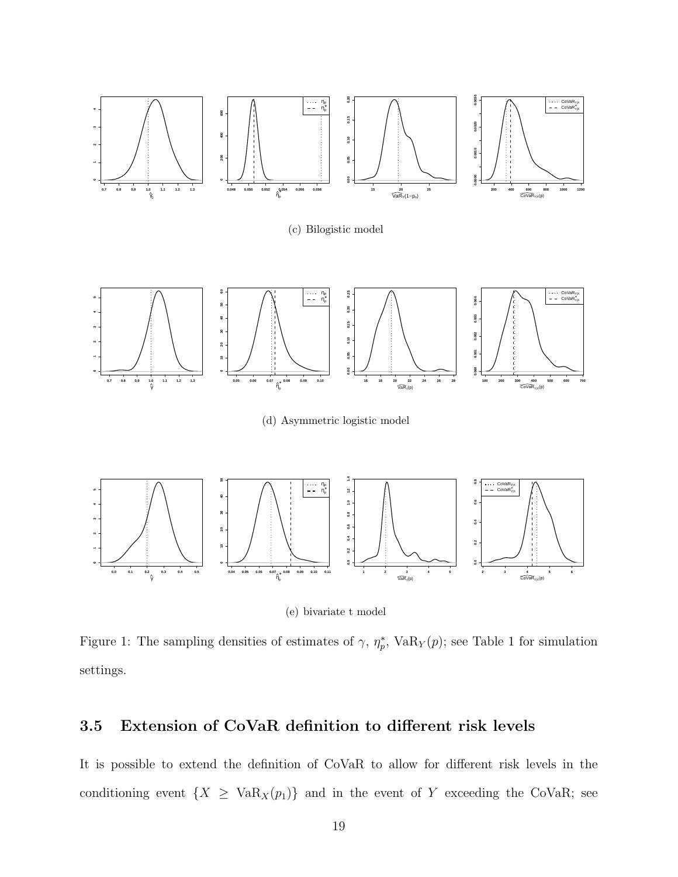

(c) Bilogistic model



(d) Asymmetric logistic model



(e) bivariate t model

<span id="page-18-0"></span>Figure [1](#page-14-0): The sampling densities of estimates of  $\gamma$ ,  $\eta_p^*$ , VaR<sub>Y</sub> $(p)$ ; see Table 1 for simulation settings.

#### 3.5 Extension of CoVaR definition to different risk levels

It is possible to extend the definition of CoVaR to allow for different risk levels in the conditioning event  $\{X \geq \text{VaR}_X(p_1)\}\$  and in the event of Y exceeding the CoVaR; see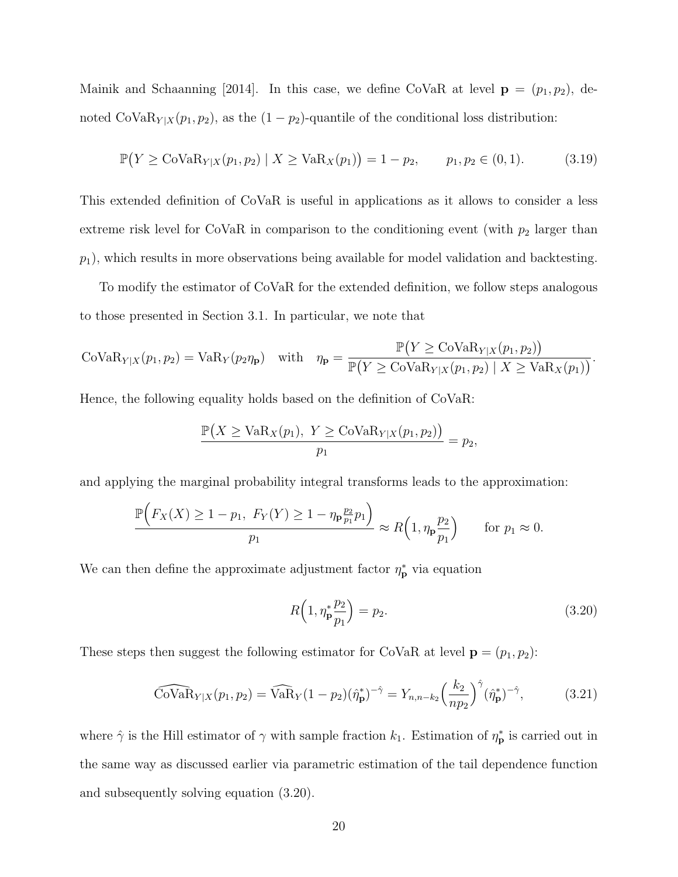[Mainik and Schaanning \[2014\]](#page-33-0). In this case, we define CoVaR at level  $\mathbf{p} = (p_1, p_2)$ , denoted CoVa $\mathrm{R}_{Y|X}(p_1, p_2)$ , as the  $(1 - p_2)$ -quantile of the conditional loss distribution:

$$
\mathbb{P}(Y \geq \text{CoVaR}_{Y|X}(p_1, p_2) \mid X \geq \text{VaR}_{X}(p_1)) = 1 - p_2, \qquad p_1, p_2 \in (0, 1). \tag{3.19}
$$

This extended definition of CoVaR is useful in applications as it allows to consider a less extreme risk level for CoVaR in comparison to the conditioning event (with  $p_2$  larger than  $p_1$ ), which results in more observations being available for model validation and backtesting.

To modify the estimator of CoVaR for the extended definition, we follow steps analogous to those presented in Section [3.1.](#page-5-4) In particular, we note that

$$
\mathrm{CoVaR}_{Y|X}(p_1, p_2) = \mathrm{VaR}_{Y}(p_2 \eta_{\mathbf{p}}) \quad \text{with} \quad \eta_{\mathbf{p}} = \frac{\mathbb{P}(Y \geq \mathrm{CoVaR}_{Y|X}(p_1, p_2))}{\mathbb{P}(Y \geq \mathrm{CoVaR}_{Y|X}(p_1, p_2) \mid X \geq \mathrm{VaR}_{X}(p_1))}.
$$

Hence, the following equality holds based on the definition of CoVaR:

$$
\frac{\mathbb{P}(X \ge \text{VaR}_X(p_1), Y \ge \text{CoVaR}_{Y|X}(p_1, p_2))}{p_1} = p_2,
$$

and applying the marginal probability integral transforms leads to the approximation:

$$
\frac{\mathbb{P}\Big(F_X(X) \ge 1 - p_1, \ F_Y(Y) \ge 1 - \eta_{\mathbf{p}} \frac{p_2}{p_1} p_1\Big)}{p_1} \approx R\Big(1, \eta_{\mathbf{p}} \frac{p_2}{p_1}\Big) \quad \text{for } p_1 \approx 0.
$$

We can then define the approximate adjustment factor  $\eta_{\mathbf{p}}^*$  via equation

<span id="page-19-0"></span>
$$
R\left(1, \eta_{\mathbf{p}}^* \frac{p_2}{p_1}\right) = p_2. \tag{3.20}
$$

These steps then suggest the following estimator for CoVaR at level  $\mathbf{p} = (p_1, p_2)$ :

<span id="page-19-1"></span>
$$
\widehat{\text{CoVaR}}_{Y|X}(p_1, p_2) = \widehat{\text{VaR}}_Y(1 - p_2)(\hat{\eta}_\mathbf{p}^*)^{-\hat{\gamma}} = Y_{n, n - k_2} \left(\frac{k_2}{np_2}\right)^{\hat{\gamma}} (\hat{\eta}_\mathbf{p}^*)^{-\hat{\gamma}},\tag{3.21}
$$

where  $\hat{\gamma}$  is the Hill estimator of  $\gamma$  with sample fraction  $k_1$ . Estimation of  $\eta_{\mathbf{p}}^*$  is carried out in the same way as discussed earlier via parametric estimation of the tail dependence function and subsequently solving equation [\(3.20\)](#page-19-0).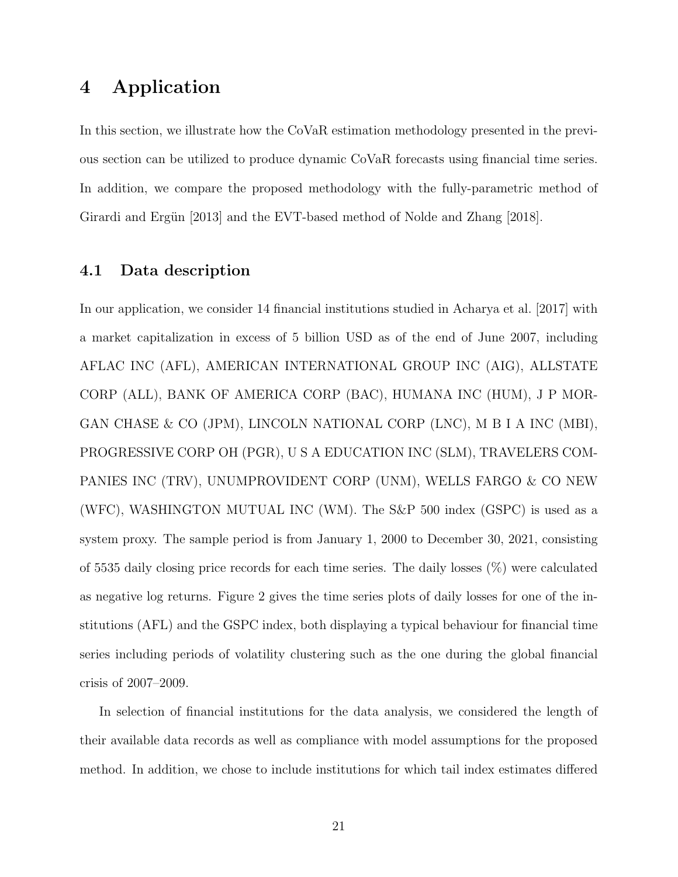# <span id="page-20-0"></span>4 Application

In this section, we illustrate how the CoVaR estimation methodology presented in the previous section can be utilized to produce dynamic CoVaR forecasts using financial time series. In addition, we compare the proposed methodology with the fully-parametric method of Girardi and Ergün [2013] and the EVT-based method of [Nolde and Zhang \[2018\]](#page-33-1).

#### <span id="page-20-1"></span>4.1 Data description

In our application, we consider 14 financial institutions studied in [Acharya et al. \[2017\]](#page-32-7) with a market capitalization in excess of 5 billion USD as of the end of June 2007, including AFLAC INC (AFL), AMERICAN INTERNATIONAL GROUP INC (AIG), ALLSTATE CORP (ALL), BANK OF AMERICA CORP (BAC), HUMANA INC (HUM), J P MOR-GAN CHASE & CO (JPM), LINCOLN NATIONAL CORP (LNC), M B I A INC (MBI), PROGRESSIVE CORP OH (PGR), U S A EDUCATION INC (SLM), TRAVELERS COM-PANIES INC (TRV), UNUMPROVIDENT CORP (UNM), WELLS FARGO & CO NEW (WFC), WASHINGTON MUTUAL INC (WM). The S&P 500 index (GSPC) is used as a system proxy. The sample period is from January 1, 2000 to December 30, 2021, consisting of 5535 daily closing price records for each time series. The daily losses (%) were calculated as negative log returns. Figure [2](#page-21-0) gives the time series plots of daily losses for one of the institutions (AFL) and the GSPC index, both displaying a typical behaviour for financial time series including periods of volatility clustering such as the one during the global financial crisis of 2007–2009.

In selection of financial institutions for the data analysis, we considered the length of their available data records as well as compliance with model assumptions for the proposed method. In addition, we chose to include institutions for which tail index estimates differed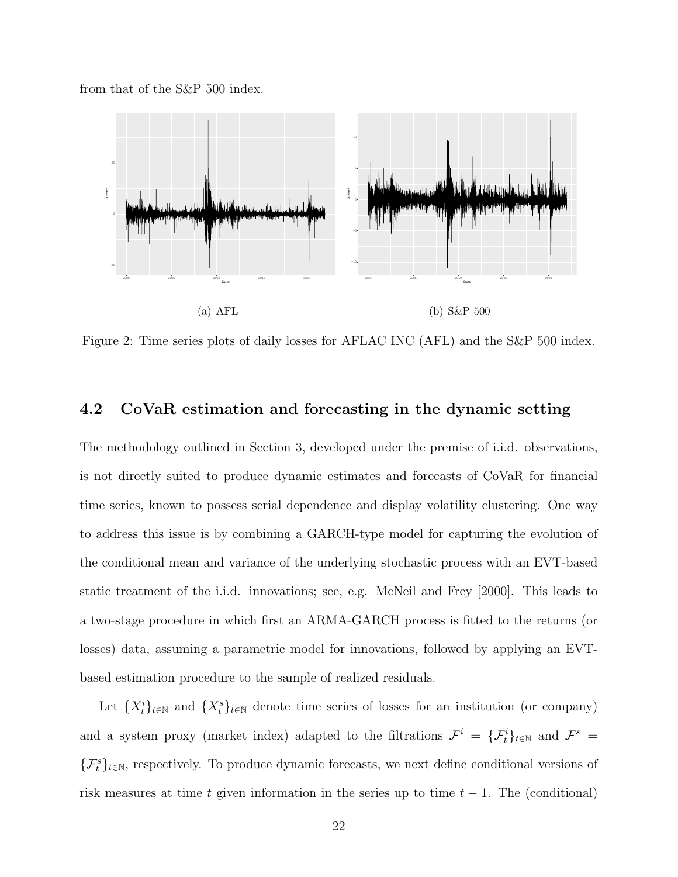from that of the S&P 500 index.



<span id="page-21-0"></span>Figure 2: Time series plots of daily losses for AFLAC INC (AFL) and the S&P 500 index.

#### 4.2 CoVaR estimation and forecasting in the dynamic setting

The methodology outlined in Section [3,](#page-5-0) developed under the premise of i.i.d. observations, is not directly suited to produce dynamic estimates and forecasts of CoVaR for financial time series, known to possess serial dependence and display volatility clustering. One way to address this issue is by combining a GARCH-type model for capturing the evolution of the conditional mean and variance of the underlying stochastic process with an EVT-based static treatment of the i.i.d. innovations; see, e.g. [McNeil and Frey \[2000\]](#page-33-9). This leads to a two-stage procedure in which first an ARMA-GARCH process is fitted to the returns (or losses) data, assuming a parametric model for innovations, followed by applying an EVTbased estimation procedure to the sample of realized residuals.

Let  ${X_t^i}_{t\in\mathbb{N}}$  and  ${X_t^s}_{t\in\mathbb{N}}$  denote time series of losses for an institution (or company) and a system proxy (market index) adapted to the filtrations  $\mathcal{F}^i = \{\mathcal{F}^i_t\}_{t\in\mathbb{N}}$  and  $\mathcal{F}^s =$  $\{\mathcal{F}_t^s\}_{t\in\mathbb{N}}$ , respectively. To produce dynamic forecasts, we next define conditional versions of risk measures at time t given information in the series up to time  $t - 1$ . The (conditional)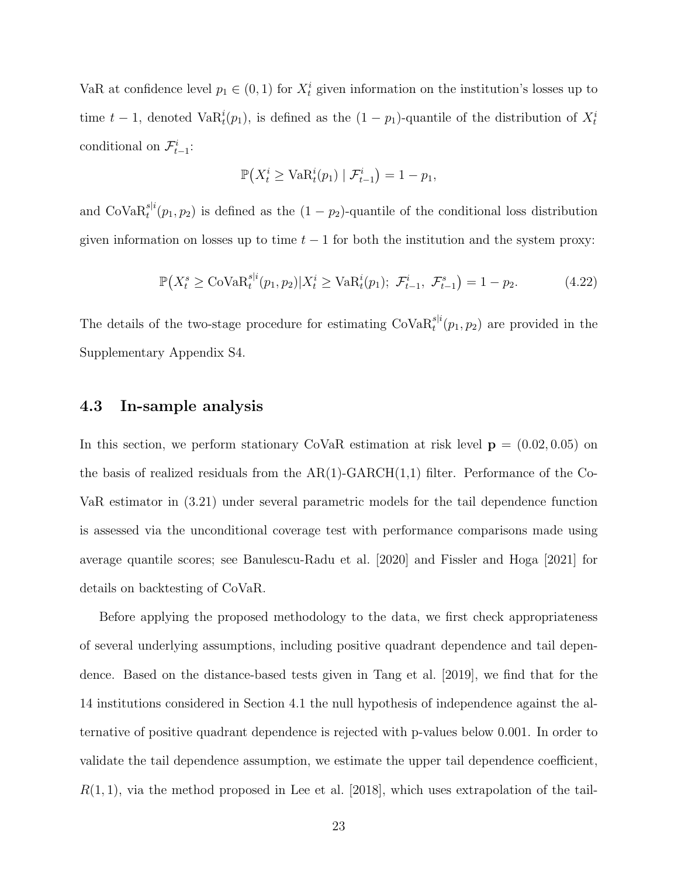VaR at confidence level  $p_1 \in (0,1)$  for  $X_t^i$  given information on the institution's losses up to time  $t-1$ , denoted Va $R_t^i(p_1)$ , is defined as the  $(1-p_1)$ -quantile of the distribution of  $X_t^i$ conditional on  $\mathcal{F}^i_{t-1}$ :

$$
\mathbb{P}\left(X_t^i \ge \text{VaR}_t^i(p_1) \mid \mathcal{F}_{t-1}^i\right) = 1 - p_1,
$$

and  $\text{CoVaR}_t^{s|i}(p_1, p_2)$  is defined as the  $(1 - p_2)$ -quantile of the conditional loss distribution given information on losses up to time  $t - 1$  for both the institution and the system proxy:

$$
\mathbb{P}\big(X_t^s \geq \text{Cov}_a \mathcal{R}_t^{s|i}(p_1, p_2) | X_t^i \geq \text{VaR}_t^i(p_1); \ \mathcal{F}_{t-1}^i, \ \mathcal{F}_{t-1}^s \big) = 1 - p_2. \tag{4.22}
$$

The details of the two-stage procedure for estimating  $\text{CoVaR}_t^{s|i}(p_1, p_2)$  are provided in the Supplementary Appendix S4.

#### 4.3 In-sample analysis

In this section, we perform stationary CoVaR estimation at risk level  $\mathbf{p} = (0.02, 0.05)$  on the basis of realized residuals from the  $AR(1)$ -GARCH $(1,1)$  filter. Performance of the Co-VaR estimator in [\(3.21\)](#page-19-1) under several parametric models for the tail dependence function is assessed via the unconditional coverage test with performance comparisons made using average quantile scores; see [Banulescu-Radu et al. \[2020\]](#page-32-8) and [Fissler and Hoga \[2021\]](#page-32-9) for details on backtesting of CoVaR.

Before applying the proposed methodology to the data, we first check appropriateness of several underlying assumptions, including positive quadrant dependence and tail dependence. Based on the distance-based tests given in [Tang et al. \[2019\]](#page-34-4), we find that for the 14 institutions considered in Section [4.1](#page-20-1) the null hypothesis of independence against the alternative of positive quadrant dependence is rejected with p-values below 0.001. In order to validate the tail dependence assumption, we estimate the upper tail dependence coefficient,  $R(1, 1)$ , via the method proposed in [Lee et al. \[2018\]](#page-33-10), which uses extrapolation of the tail-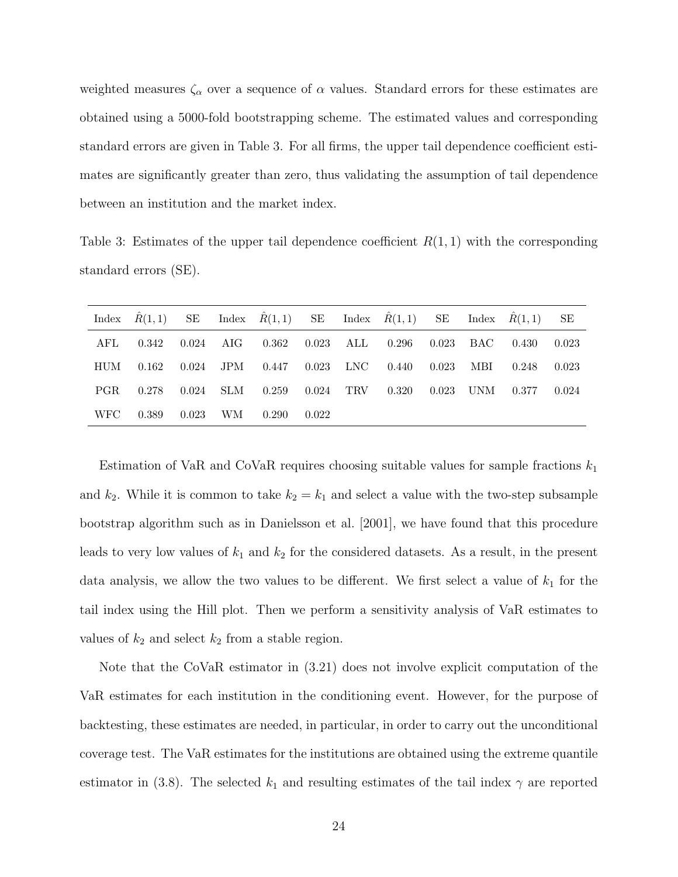weighted measures  $\zeta_{\alpha}$  over a sequence of  $\alpha$  values. Standard errors for these estimates are obtained using a 5000-fold bootstrapping scheme. The estimated values and corresponding standard errors are given in Table [3.](#page-23-0) For all firms, the upper tail dependence coefficient estimates are significantly greater than zero, thus validating the assumption of tail dependence between an institution and the market index.

<span id="page-23-0"></span>Table 3: Estimates of the upper tail dependence coefficient  $R(1, 1)$  with the corresponding standard errors (SE).

|      |       |       |                      |                           |       | Index $\hat{R}(1,1)$ SE Index $\hat{R}(1,1)$ SE Index $\hat{R}(1,1)$ SE Index $\hat{R}(1,1)$ |             |             |       | SЕ    |
|------|-------|-------|----------------------|---------------------------|-------|----------------------------------------------------------------------------------------------|-------------|-------------|-------|-------|
| AFL  | 0.342 | 0.024 |                      | AIG 0.362 0.023 ALL 0.296 |       |                                                                                              | $0.023$ BAC |             | 0.430 | 0.023 |
| HUM  | 0.162 | 0.024 |                      | JPM 0.447 0.023 LNC 0.440 |       |                                                                                              | $0.023$ MBI |             | 0.248 | 0.023 |
| PGR. | 0.278 | 0.024 | $\operatorname{SLM}$ | $0.259$ $0.024$ TRV       |       | 0.320                                                                                        |             | $0.023$ UNM | 0.377 | 0.024 |
| WFC- | 0.389 | 0.023 | WМ                   | 0.290                     | 0.022 |                                                                                              |             |             |       |       |

Estimation of VaR and CoVaR requires choosing suitable values for sample fractions  $k_1$ and  $k_2$ . While it is common to take  $k_2 = k_1$  and select a value with the two-step subsample bootstrap algorithm such as in [Danielsson et al. \[2001\]](#page-32-4), we have found that this procedure leads to very low values of  $k_1$  and  $k_2$  for the considered datasets. As a result, in the present data analysis, we allow the two values to be different. We first select a value of  $k_1$  for the tail index using the Hill plot. Then we perform a sensitivity analysis of VaR estimates to values of  $k_2$  and select  $k_2$  from a stable region.

Note that the CoVaR estimator in [\(3.21\)](#page-19-1) does not involve explicit computation of the VaR estimates for each institution in the conditioning event. However, for the purpose of backtesting, these estimates are needed, in particular, in order to carry out the unconditional coverage test. The VaR estimates for the institutions are obtained using the extreme quantile estimator in [\(3.8\)](#page-7-1). The selected  $k_1$  and resulting estimates of the tail index  $\gamma$  are reported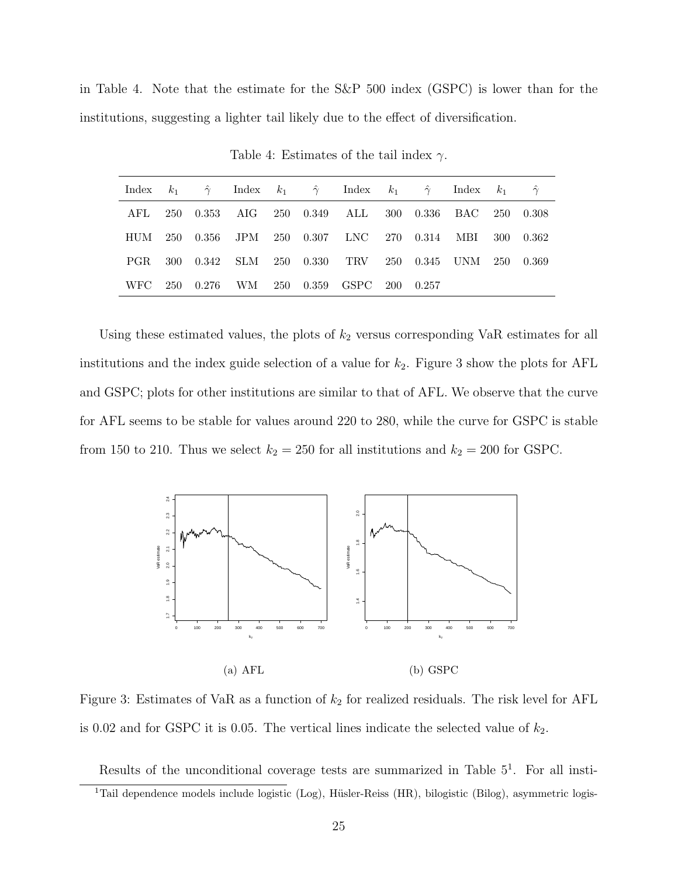in Table [4.](#page-24-0) Note that the estimate for the S&P 500 index (GSPC) is lower than for the institutions, suggesting a lighter tail likely due to the effect of diversification.

|  |  |  | Index $k_1$ $\hat{\gamma}$ Index $k_1$ $\hat{\gamma}$ Index $k_1$ $\hat{\gamma}$ Index $k_1$ $\hat{\gamma}$ |  |  |  |
|--|--|--|-------------------------------------------------------------------------------------------------------------|--|--|--|
|  |  |  | AFL 250 0.353 AIG 250 0.349 ALL 300 0.336 BAC 250 0.308                                                     |  |  |  |
|  |  |  | HUM 250 0.356 JPM 250 0.307 LNC 270 0.314 MBI 300 0.362                                                     |  |  |  |
|  |  |  | PGR 300 0.342 SLM 250 0.330 TRV 250 0.345 UNM 250 0.369                                                     |  |  |  |
|  |  |  | WFC 250 0.276 WM 250 0.359 GSPC 200 0.257                                                                   |  |  |  |

<span id="page-24-0"></span>Table 4: Estimates of the tail index  $\gamma$ .

Using these estimated values, the plots of  $k_2$  versus corresponding VaR estimates for all institutions and the index guide selection of a value for  $k_2$ . Figure [3](#page-24-1) show the plots for AFL and GSPC; plots for other institutions are similar to that of AFL. We observe that the curve for AFL seems to be stable for values around 220 to 280, while the curve for GSPC is stable from 150 to 210. Thus we select  $k_2 = 250$  for all institutions and  $k_2 = 200$  for GSPC.



(a) AFL (b) GSPC

<span id="page-24-1"></span>Figure 3: Estimates of VaR as a function of  $k_2$  for realized residuals. The risk level for AFL is 0.02 and for GSPC it is 0.05. The vertical lines indicate the selected value of  $k_2$ .

<span id="page-24-2"></span>Results of the unconditional coverage tests are summarized in Table  $5<sup>1</sup>$  $5<sup>1</sup>$  $5<sup>1</sup>$ . For all insti-<sup>1</sup>Tail dependence models include logistic (Log), Hüsler-Reiss (HR), bilogistic (Bilog), asymmetric logis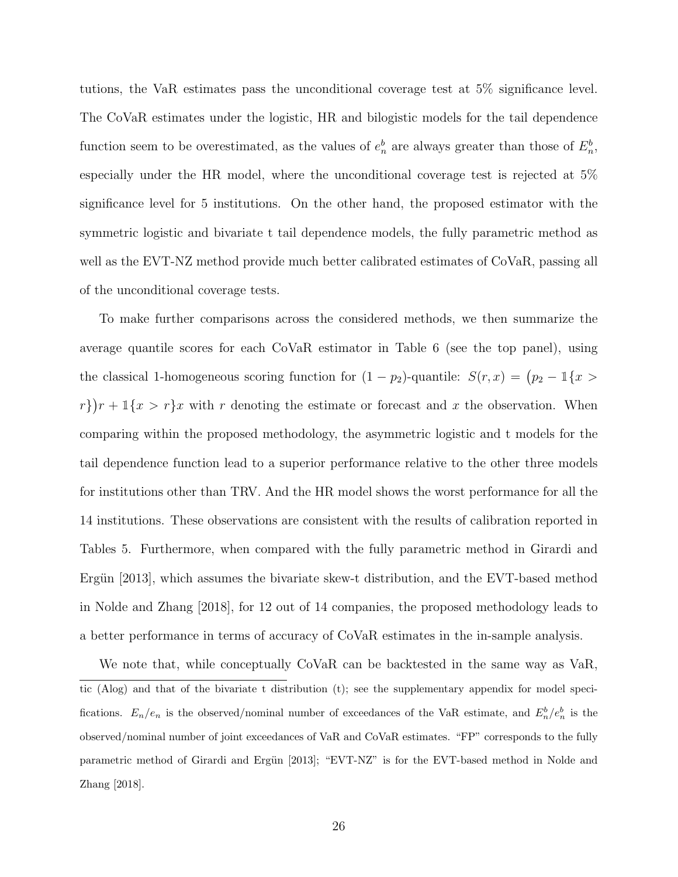tutions, the VaR estimates pass the unconditional coverage test at 5% significance level. The CoVaR estimates under the logistic, HR and bilogistic models for the tail dependence function seem to be overestimated, as the values of  $e_n^b$  are always greater than those of  $E_n^b$ , especially under the HR model, where the unconditional coverage test is rejected at 5% significance level for 5 institutions. On the other hand, the proposed estimator with the symmetric logistic and bivariate t tail dependence models, the fully parametric method as well as the EVT-NZ method provide much better calibrated estimates of CoVaR, passing all of the unconditional coverage tests.

To make further comparisons across the considered methods, we then summarize the average quantile scores for each CoVaR estimator in Table [6](#page-31-0) (see the top panel), using the classical 1-homogeneous scoring function for  $(1 - p_2)$ -quantile:  $S(r, x) = (p_2 - 1\{x >$  $r\{r+1\{x > r\}x \text{ with } r \text{ denoting the estimate or forecast and } x \text{ the observation. When }$ comparing within the proposed methodology, the asymmetric logistic and t models for the tail dependence function lead to a superior performance relative to the other three models for institutions other than TRV. And the HR model shows the worst performance for all the 14 institutions. These observations are consistent with the results of calibration reported in Tables [5.](#page-30-0) Furthermore, when compared with the fully parametric method in [Girardi and](#page-32-1) Ergün [2013], which assumes the bivariate skew-t distribution, and the EVT-based method in [Nolde and Zhang \[2018\]](#page-33-1), for 12 out of 14 companies, the proposed methodology leads to a better performance in terms of accuracy of CoVaR estimates in the in-sample analysis.

We note that, while conceptually CoVaR can be backtested in the same way as VaR. tic (Alog) and that of the bivariate t distribution (t); see the supplementary appendix for model specifications.  $E_n/e_n$  is the observed/nominal number of exceedances of the VaR estimate, and  $E_n^b/e_n^b$  is the observed/nominal number of joint exceedances of VaR and CoVaR estimates. "FP" corresponds to the fully parametric method of Girardi and Ergün [\[2013\]](#page-32-1); "EVT-NZ" is for the EVT-based method in [Nolde and](#page-33-1) [Zhang](#page-33-1) [\[2018\]](#page-33-1).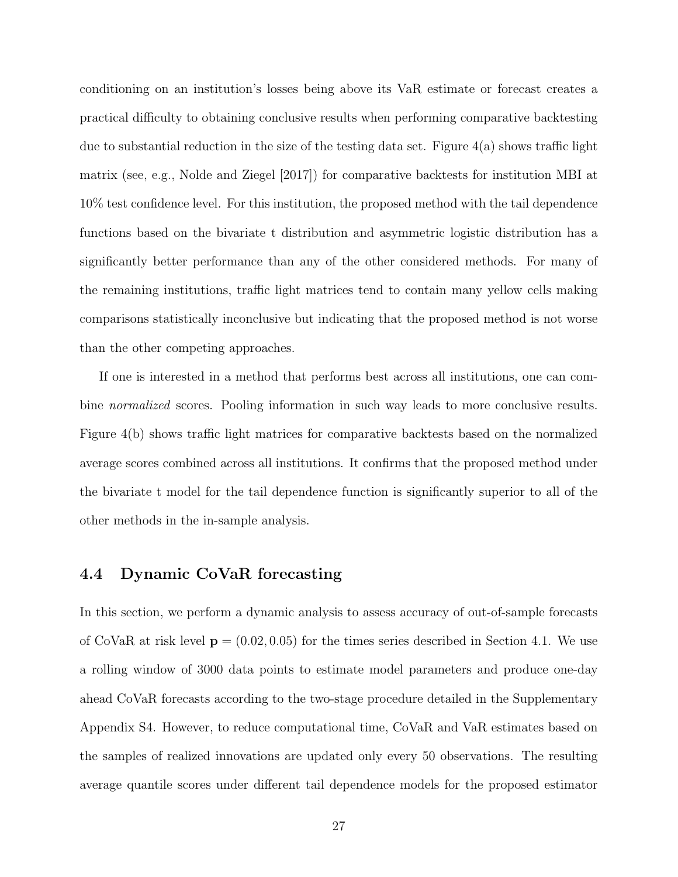conditioning on an institution's losses being above its VaR estimate or forecast creates a practical difficulty to obtaining conclusive results when performing comparative backtesting due to substantial reduction in the size of the testing data set. Figure  $4(a)$  shows traffic light matrix (see, e.g., [Nolde and Ziegel \[2017\]](#page-34-5)) for comparative backtests for institution MBI at 10% test confidence level. For this institution, the proposed method with the tail dependence functions based on the bivariate t distribution and asymmetric logistic distribution has a significantly better performance than any of the other considered methods. For many of the remaining institutions, traffic light matrices tend to contain many yellow cells making comparisons statistically inconclusive but indicating that the proposed method is not worse than the other competing approaches.

If one is interested in a method that performs best across all institutions, one can combine *normalized* scores. Pooling information in such way leads to more conclusive results. Figure [4\(](#page-28-0)b) shows traffic light matrices for comparative backtests based on the normalized average scores combined across all institutions. It confirms that the proposed method under the bivariate t model for the tail dependence function is significantly superior to all of the other methods in the in-sample analysis.

#### 4.4 Dynamic CoVaR forecasting

In this section, we perform a dynamic analysis to assess accuracy of out-of-sample forecasts of CoVaR at risk level  $p = (0.02, 0.05)$  for the times series described in Section [4.1.](#page-20-1) We use a rolling window of 3000 data points to estimate model parameters and produce one-day ahead CoVaR forecasts according to the two-stage procedure detailed in the Supplementary Appendix S4. However, to reduce computational time, CoVaR and VaR estimates based on the samples of realized innovations are updated only every 50 observations. The resulting average quantile scores under different tail dependence models for the proposed estimator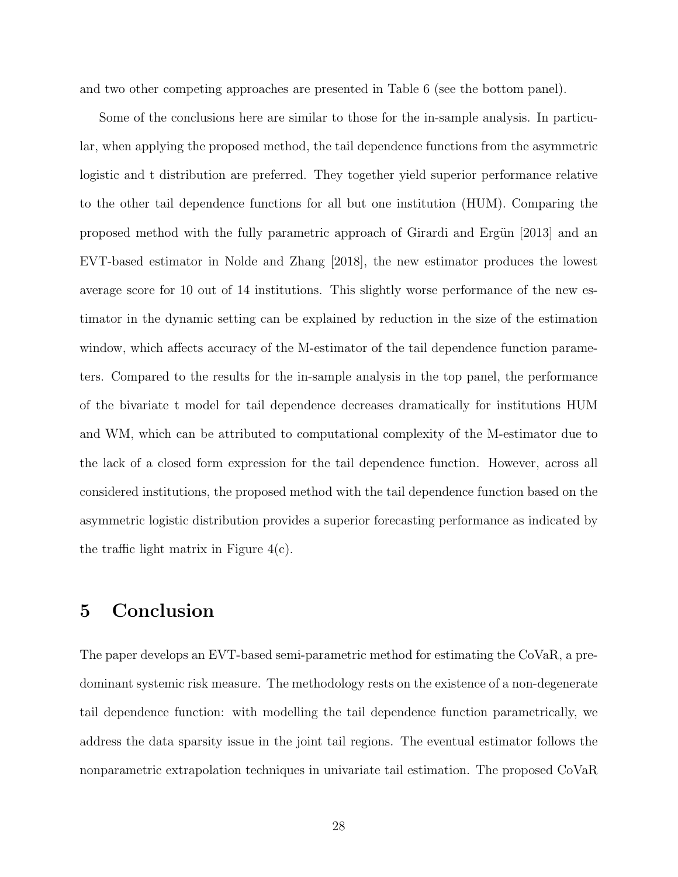and two other competing approaches are presented in Table [6](#page-31-0) (see the bottom panel).

Some of the conclusions here are similar to those for the in-sample analysis. In particular, when applying the proposed method, the tail dependence functions from the asymmetric logistic and t distribution are preferred. They together yield superior performance relative to the other tail dependence functions for all but one institution (HUM). Comparing the proposed method with the fully parametric approach of Girardi and Ergün [2013] and an EVT-based estimator in [Nolde and Zhang \[2018\]](#page-33-1), the new estimator produces the lowest average score for 10 out of 14 institutions. This slightly worse performance of the new estimator in the dynamic setting can be explained by reduction in the size of the estimation window, which affects accuracy of the M-estimator of the tail dependence function parameters. Compared to the results for the in-sample analysis in the top panel, the performance of the bivariate t model for tail dependence decreases dramatically for institutions HUM and WM, which can be attributed to computational complexity of the M-estimator due to the lack of a closed form expression for the tail dependence function. However, across all considered institutions, the proposed method with the tail dependence function based on the asymmetric logistic distribution provides a superior forecasting performance as indicated by the traffic light matrix in Figure [4\(](#page-28-0)c).

## <span id="page-27-0"></span>5 Conclusion

The paper develops an EVT-based semi-parametric method for estimating the CoVaR, a predominant systemic risk measure. The methodology rests on the existence of a non-degenerate tail dependence function: with modelling the tail dependence function parametrically, we address the data sparsity issue in the joint tail regions. The eventual estimator follows the nonparametric extrapolation techniques in univariate tail estimation. The proposed CoVaR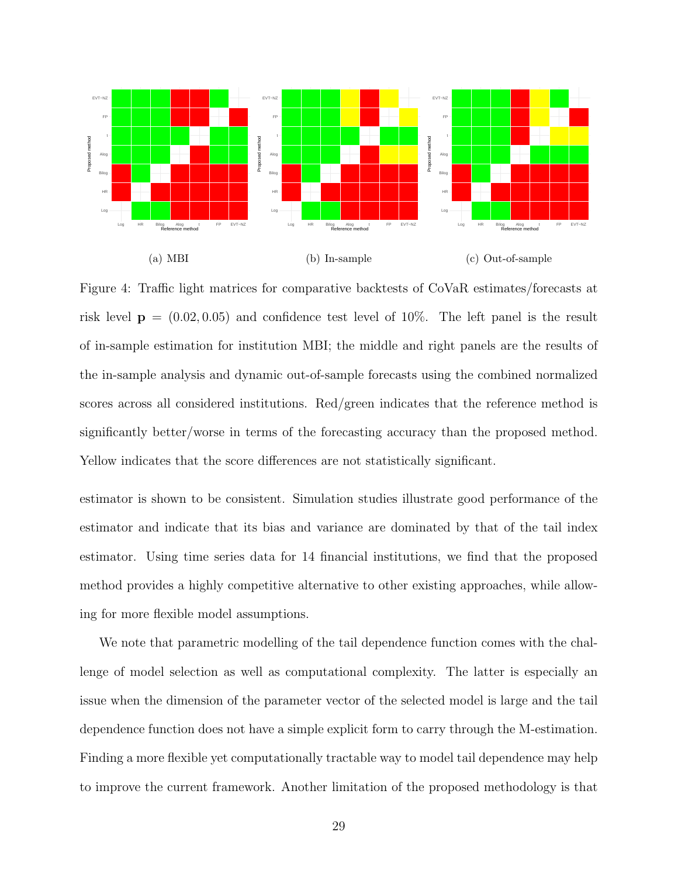

<span id="page-28-0"></span>Figure 4: Traffic light matrices for comparative backtests of CoVaR estimates/forecasts at risk level  $p = (0.02, 0.05)$  and confidence test level of 10%. The left panel is the result of in-sample estimation for institution MBI; the middle and right panels are the results of the in-sample analysis and dynamic out-of-sample forecasts using the combined normalized scores across all considered institutions. Red/green indicates that the reference method is significantly better/worse in terms of the forecasting accuracy than the proposed method. Yellow indicates that the score differences are not statistically significant.

estimator is shown to be consistent. Simulation studies illustrate good performance of the estimator and indicate that its bias and variance are dominated by that of the tail index estimator. Using time series data for 14 financial institutions, we find that the proposed method provides a highly competitive alternative to other existing approaches, while allowing for more flexible model assumptions.

We note that parametric modelling of the tail dependence function comes with the challenge of model selection as well as computational complexity. The latter is especially an issue when the dimension of the parameter vector of the selected model is large and the tail dependence function does not have a simple explicit form to carry through the M-estimation. Finding a more flexible yet computationally tractable way to model tail dependence may help to improve the current framework. Another limitation of the proposed methodology is that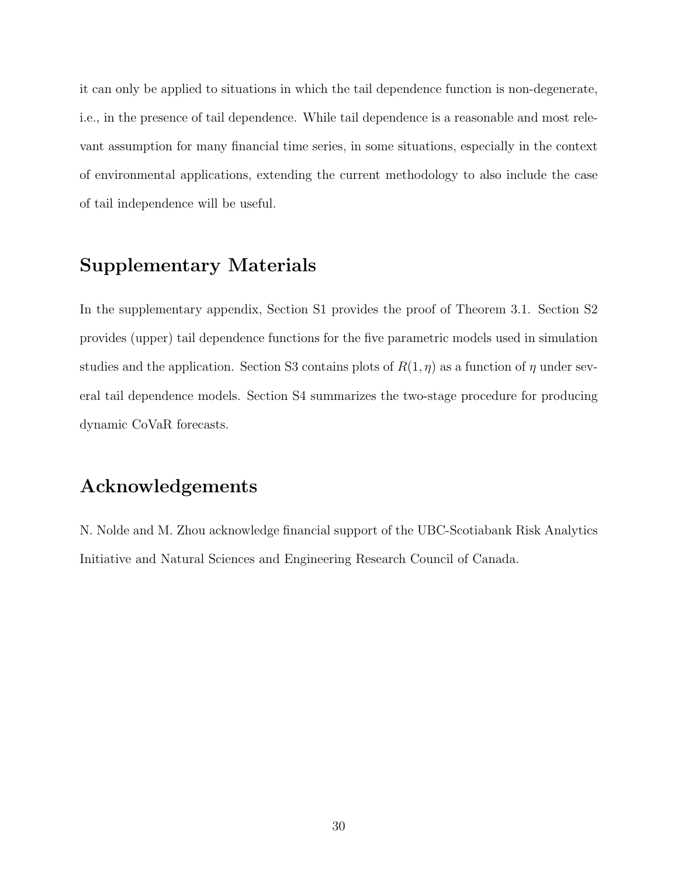it can only be applied to situations in which the tail dependence function is non-degenerate, i.e., in the presence of tail dependence. While tail dependence is a reasonable and most relevant assumption for many financial time series, in some situations, especially in the context of environmental applications, extending the current methodology to also include the case of tail independence will be useful.

# Supplementary Materials

In the supplementary appendix, Section S1 provides the proof of Theorem [3.1.](#page-11-2) Section S2 provides (upper) tail dependence functions for the five parametric models used in simulation studies and the application. Section S3 contains plots of  $R(1, \eta)$  as a function of  $\eta$  under several tail dependence models. Section S4 summarizes the two-stage procedure for producing dynamic CoVaR forecasts.

### Acknowledgements

N. Nolde and M. Zhou acknowledge financial support of the UBC-Scotiabank Risk Analytics Initiative and Natural Sciences and Engineering Research Council of Canada.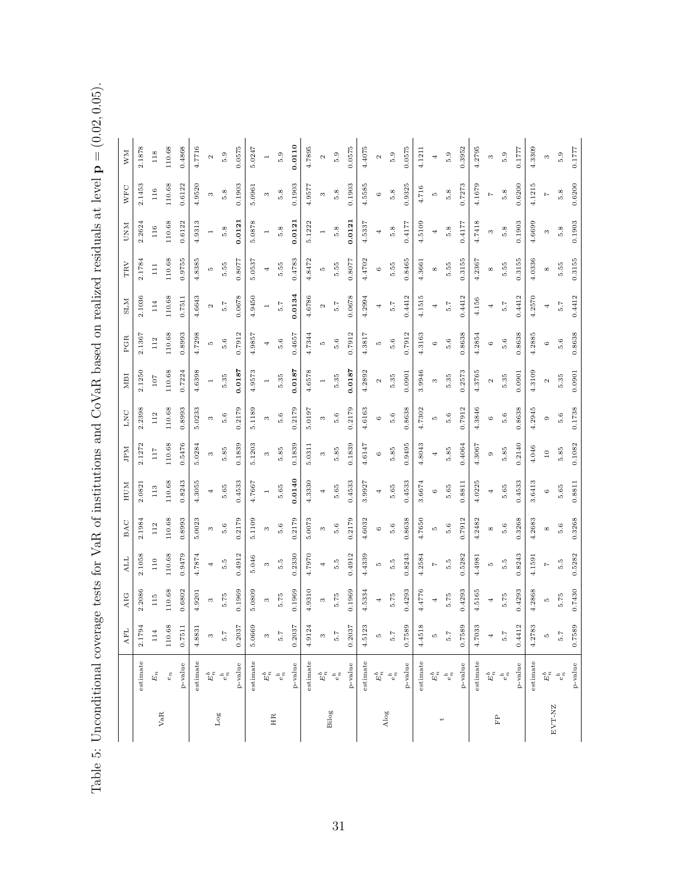<span id="page-30-0"></span>Table 5: Unconditional coverage tests for VaR of institutions and CoVaR based on realized residuals at level  ${\bf p} = (0.02, 0.05).$ 

| 0.0110<br>2.1878<br>110.68<br>4.7716<br>0.0575<br>4.7895<br>0.0575<br>4.2795<br>0.4868<br>5.0247<br>4.4075<br>0.0575<br>0.3952<br>4.3309<br>0.1777<br>4.1211<br>0.1777<br>118<br>5.9<br>5.9<br>5.9<br>5.9<br>5.9<br>5.9<br>5.9<br>$\overline{4}$<br>$\infty$<br>$\mathfrak{a}$<br>S<br>$\overline{a}$<br>Z<br>Z<br>2.1453<br>110.68<br>0.6122<br>4.9520<br>4.5585<br>0.7273<br>4.1679<br>4.1215<br>0.6200<br>0.1903<br>0.1903<br>0.1903<br>0.9325<br>0.6200<br>5.0961<br>4.9577<br>4.716<br>116<br>5.8<br>5.8<br>5.8<br>5.8<br>5.8<br>5.8<br>5.8<br>$\overline{z}$<br>$\infty$<br>3<br>$\infty$<br>$\circ$<br><b>LC</b><br>$\overline{\phantom{0}}$<br>0.0121<br>5.0878<br>110.68<br>4.9313<br>5.1222<br>0.0121<br>4.7418<br>4.6699<br>0.1903<br>2.2624<br>0.6122<br>4.5337<br>4.5109<br>0.4177<br>0.1903<br>0.4177<br>0.012<br>116<br>5.8<br>5.8<br>5.8<br>5.8<br>5.8<br>5.8<br>5.8<br>S<br>$\infty$<br>4<br>4<br>$\overline{a}$<br>$\overline{a}$<br>$\overline{\phantom{0}}$<br>0.8077<br>2.1784<br>110.68<br>0.9755<br>4.8385<br>0.8077<br>0.4783<br>4.8472<br>4.4702<br>0.8465<br>0.3155<br>4.0336<br>0.3155<br>5.0537<br>4.2367<br>0.3155<br>4.3661<br>5.55<br>5.55<br>5.55<br>5.55<br>5.55<br>5.55<br>5.55<br>$\Xi$<br><b>LC</b><br>4<br>LC.<br>$\circ$<br>${}^{\circ}$<br>$^{\circ}$<br>$^{\circ}$<br>0.0134<br>2.1036<br>110.68<br>4.6643<br>0.0678<br>4.9450<br>4.6786<br>4.2994<br>0.4412<br>4.1515<br>0.4412<br>0.4412<br>4.2570<br>0.4412<br>0.0678<br>0.7511<br>4.156<br>114<br>5.7<br>5.7<br>5.7<br>5.7<br>5.7<br>5.7<br>5.7<br>$\mathfrak{a}$<br>$\boldsymbol{\sim}$<br>$\overline{a}$<br>4<br>4<br>4<br>4<br>110.68<br>4.7298<br>0.7912<br>0.8638<br>4.2885<br>0.8638<br>0.8993<br>0.7912<br>4.9857<br>4.7344<br>4.3817<br>0.7912<br>4.3163<br>0.8638<br>2.1367<br>0.4657<br>4.2854<br>112<br>5.6<br>5.6<br>5.6<br>5.6<br>5.6<br>5.6<br>5.6<br>LO.<br>$\circ$<br>$\circ$<br><b>LO</b><br>4<br>5<br>$\circ$<br>0.0187<br>0.0187<br>0.0187<br>2.1250<br>110.68<br>4.6398<br>4.9573<br>4.6578<br>3.9946<br>4.2892<br>0.2573<br>4.3765<br>4.3109<br>0.7224<br>0.0901<br>0.0901<br>0.0901<br>5.35<br>5.35<br>5.35<br>5.35<br>5.35<br>5.35<br>5.35<br>107<br>$\sim$<br>$\infty$<br>$\sim$<br>$\mathfrak{a}$<br>$\overline{a}$<br>$\overline{a}$<br>$\overline{a}$<br>4.3846<br>110.68<br>5.0233<br>0.2179<br>5.1189<br>0.2179<br>0.2179<br>4.6163<br>0.8638<br>0.7912<br>0.8638<br>4.2945<br>0.1738<br>2.2398<br>0.8993<br>5.0197<br>4.7302<br>112<br>5.6<br>5.6<br>5.6<br>5.6<br>5.6<br>5.6<br>5.6<br>LQ<br>$\circ$<br>$\circ$<br>$\infty$<br>3<br>$\infty$<br>$\circ$<br>2.1272<br>110.68<br>0.5476<br>0.1839<br>5.1203<br>0.1839<br>0.1839<br>4.6147<br>0.9495<br>4.8043<br>0.2140<br>0.1082<br>5.0284<br>0.4064<br>4.3067<br>5.0311<br>4.046<br>5.85<br>5.85<br>5.85<br>5.85<br>5.85<br>5.85<br>5.85<br>117<br>$10$<br>$\infty$<br>$\infty$<br>$\circ$<br>$\circ$<br>$\infty$<br>4<br>0.0140<br>4.3055<br>110.68<br>0.8243<br>4.3330<br>4.0225<br>0.4533<br>3.6413<br>0.4533<br>4.7667<br>0.4533<br>3.9927<br>0.4533<br>3.6674<br>0.8811<br>0.8811<br>2.0821<br>5.65<br>5.65<br>5.65<br>5.65<br>5.65<br>5.65<br>5.65<br>113<br>$\circ$<br>4<br>$\circ$<br>$\overline{a}$<br>4<br>4<br>4<br>5.0023<br>5.0073<br>4.6032<br>0.7912<br>2.1984<br>110.68<br>0.8993<br>0.2179<br>5.1109<br>0.2179<br>0.2179<br>0.8638<br>4.7650<br>4.2482<br>0.3268<br>4.2683<br>0.3268<br>112<br>5.6<br>5.6<br>5.6<br>5.6<br>5.6<br>5.6<br>5.6<br>$\circ$<br>LQ<br>${}^{\infty}$<br>S<br>${}^{\infty}$<br>S<br>S<br>2.1058<br>110.68<br>0.9479<br>4.7874<br>0.4912<br>0.2330<br>4.7970<br>0.4912<br>4.4339<br>0.8243<br>0.5282<br>0.8243<br>0.5282<br>4.2584<br>4.4981<br>4.1591<br>5.046<br>110<br>5.5<br>5.5<br>5.5<br>5.5<br>5.5<br>5.5<br>5.5<br><b>LC</b><br>$\mathord{\sim}$<br>4<br>$\infty$<br>4<br>5<br>$\overline{1}$<br>2.2086<br>110.68<br>4.9310<br>4.5165<br>0.7430<br>0.6802<br>0.1969<br>5.0809<br>0.1969<br>0.1969<br>4.5334<br>0.4293<br>4.4776<br>0.4293<br>0.4293<br>4.2868<br>4.9201<br>5.75<br>5.75<br>5.75<br>5.75<br>5.75<br>5.75<br>115<br>5.75<br>LQ<br>$\infty$<br>3<br>$\infty$<br>4<br>4<br>4<br>110.68<br>5.0669<br>4.9124<br>0.2037<br>4.5123<br>0.7589<br>4.4518<br>0.7589<br>4.7033<br>0.4412<br>4.2783<br>0.7589<br>2.1794<br>0.7511<br>4.8831<br>0.2037<br>0.2037<br>114<br>5.7<br>5.7<br>5.7<br>7.5<br>5.7<br>$\omega$<br>$\infty$<br>$\infty$<br>ņ<br>IJ<br>4<br>5.7<br>IJ<br>5.7<br>estimate<br>estimate<br>estimate<br>estimate<br>estimate<br>estimate<br>estimate<br>estimate<br>$p$ -value<br>p-value<br>p-value<br>p-value<br>$p$ -value<br>p-value<br>p-value<br>p-value<br>$\boldsymbol{E}_n$<br>$E_n^b$<br>$E_n^b$<br>$E_n^b$<br>$E_n^b$<br>$E_n^b$<br>$E_n^b$<br>$e_n$<br>$e_n^b$<br>$E_n^b$<br>$e_n^b$<br>$e_n^b$<br>$e_n^b$<br>$e_n^b$<br>$e^b_n$<br>$e_n^b$<br>EVT-NZ<br>Bilog<br>Alog<br>VaR<br>$_{\rm Log}$<br>HR<br>FP<br>$\ddot{}$ |  | <b>AFL</b> | AIG | ALL | BAC | HUM | JPM | LNC | ISIM | PGR | <b>NTS</b> | TRV | <b>NND</b> | <b>WFC</b> | <b>WM</b> |
|------------------------------------------------------------------------------------------------------------------------------------------------------------------------------------------------------------------------------------------------------------------------------------------------------------------------------------------------------------------------------------------------------------------------------------------------------------------------------------------------------------------------------------------------------------------------------------------------------------------------------------------------------------------------------------------------------------------------------------------------------------------------------------------------------------------------------------------------------------------------------------------------------------------------------------------------------------------------------------------------------------------------------------------------------------------------------------------------------------------------------------------------------------------------------------------------------------------------------------------------------------------------------------------------------------------------------------------------------------------------------------------------------------------------------------------------------------------------------------------------------------------------------------------------------------------------------------------------------------------------------------------------------------------------------------------------------------------------------------------------------------------------------------------------------------------------------------------------------------------------------------------------------------------------------------------------------------------------------------------------------------------------------------------------------------------------------------------------------------------------------------------------------------------------------------------------------------------------------------------------------------------------------------------------------------------------------------------------------------------------------------------------------------------------------------------------------------------------------------------------------------------------------------------------------------------------------------------------------------------------------------------------------------------------------------------------------------------------------------------------------------------------------------------------------------------------------------------------------------------------------------------------------------------------------------------------------------------------------------------------------------------------------------------------------------------------------------------------------------------------------------------------------------------------------------------------------------------------------------------------------------------------------------------------------------------------------------------------------------------------------------------------------------------------------------------------------------------------------------------------------------------------------------------------------------------------------------------------------------------------------------------------------------------------------------------------------------------------------------------------------------------------------------------------------------------------------------------------------------------------------------------------------------------------------------------------------------------------------------------------------------------------------------------------------------------------------------------------------------------------------------------------------------------------------------------------------------------------------------------------------------------------------------------------------------------------------------------------------------------------------------------------------------------------------------------------------------------------------------------------------------------------------------------------------------------------------------------------------------------------------------------------------------------------------------------------------------------------------------------------------------------------------------------------------------------------------------------------------------------------------------|--|------------|-----|-----|-----|-----|-----|-----|------|-----|------------|-----|------------|------------|-----------|
|                                                                                                                                                                                                                                                                                                                                                                                                                                                                                                                                                                                                                                                                                                                                                                                                                                                                                                                                                                                                                                                                                                                                                                                                                                                                                                                                                                                                                                                                                                                                                                                                                                                                                                                                                                                                                                                                                                                                                                                                                                                                                                                                                                                                                                                                                                                                                                                                                                                                                                                                                                                                                                                                                                                                                                                                                                                                                                                                                                                                                                                                                                                                                                                                                                                                                                                                                                                                                                                                                                                                                                                                                                                                                                                                                                                                                                                                                                                                                                                                                                                                                                                                                                                                                                                                                                                                                                                                                                                                                                                                                                                                                                                                                                                                                                                                                                                                                    |  |            |     |     |     |     |     |     |      |     |            |     |            |            |           |
|                                                                                                                                                                                                                                                                                                                                                                                                                                                                                                                                                                                                                                                                                                                                                                                                                                                                                                                                                                                                                                                                                                                                                                                                                                                                                                                                                                                                                                                                                                                                                                                                                                                                                                                                                                                                                                                                                                                                                                                                                                                                                                                                                                                                                                                                                                                                                                                                                                                                                                                                                                                                                                                                                                                                                                                                                                                                                                                                                                                                                                                                                                                                                                                                                                                                                                                                                                                                                                                                                                                                                                                                                                                                                                                                                                                                                                                                                                                                                                                                                                                                                                                                                                                                                                                                                                                                                                                                                                                                                                                                                                                                                                                                                                                                                                                                                                                                                    |  |            |     |     |     |     |     |     |      |     |            |     |            |            |           |
|                                                                                                                                                                                                                                                                                                                                                                                                                                                                                                                                                                                                                                                                                                                                                                                                                                                                                                                                                                                                                                                                                                                                                                                                                                                                                                                                                                                                                                                                                                                                                                                                                                                                                                                                                                                                                                                                                                                                                                                                                                                                                                                                                                                                                                                                                                                                                                                                                                                                                                                                                                                                                                                                                                                                                                                                                                                                                                                                                                                                                                                                                                                                                                                                                                                                                                                                                                                                                                                                                                                                                                                                                                                                                                                                                                                                                                                                                                                                                                                                                                                                                                                                                                                                                                                                                                                                                                                                                                                                                                                                                                                                                                                                                                                                                                                                                                                                                    |  |            |     |     |     |     |     |     |      |     |            |     |            |            |           |
|                                                                                                                                                                                                                                                                                                                                                                                                                                                                                                                                                                                                                                                                                                                                                                                                                                                                                                                                                                                                                                                                                                                                                                                                                                                                                                                                                                                                                                                                                                                                                                                                                                                                                                                                                                                                                                                                                                                                                                                                                                                                                                                                                                                                                                                                                                                                                                                                                                                                                                                                                                                                                                                                                                                                                                                                                                                                                                                                                                                                                                                                                                                                                                                                                                                                                                                                                                                                                                                                                                                                                                                                                                                                                                                                                                                                                                                                                                                                                                                                                                                                                                                                                                                                                                                                                                                                                                                                                                                                                                                                                                                                                                                                                                                                                                                                                                                                                    |  |            |     |     |     |     |     |     |      |     |            |     |            |            |           |
|                                                                                                                                                                                                                                                                                                                                                                                                                                                                                                                                                                                                                                                                                                                                                                                                                                                                                                                                                                                                                                                                                                                                                                                                                                                                                                                                                                                                                                                                                                                                                                                                                                                                                                                                                                                                                                                                                                                                                                                                                                                                                                                                                                                                                                                                                                                                                                                                                                                                                                                                                                                                                                                                                                                                                                                                                                                                                                                                                                                                                                                                                                                                                                                                                                                                                                                                                                                                                                                                                                                                                                                                                                                                                                                                                                                                                                                                                                                                                                                                                                                                                                                                                                                                                                                                                                                                                                                                                                                                                                                                                                                                                                                                                                                                                                                                                                                                                    |  |            |     |     |     |     |     |     |      |     |            |     |            |            |           |
|                                                                                                                                                                                                                                                                                                                                                                                                                                                                                                                                                                                                                                                                                                                                                                                                                                                                                                                                                                                                                                                                                                                                                                                                                                                                                                                                                                                                                                                                                                                                                                                                                                                                                                                                                                                                                                                                                                                                                                                                                                                                                                                                                                                                                                                                                                                                                                                                                                                                                                                                                                                                                                                                                                                                                                                                                                                                                                                                                                                                                                                                                                                                                                                                                                                                                                                                                                                                                                                                                                                                                                                                                                                                                                                                                                                                                                                                                                                                                                                                                                                                                                                                                                                                                                                                                                                                                                                                                                                                                                                                                                                                                                                                                                                                                                                                                                                                                    |  |            |     |     |     |     |     |     |      |     |            |     |            |            |           |
|                                                                                                                                                                                                                                                                                                                                                                                                                                                                                                                                                                                                                                                                                                                                                                                                                                                                                                                                                                                                                                                                                                                                                                                                                                                                                                                                                                                                                                                                                                                                                                                                                                                                                                                                                                                                                                                                                                                                                                                                                                                                                                                                                                                                                                                                                                                                                                                                                                                                                                                                                                                                                                                                                                                                                                                                                                                                                                                                                                                                                                                                                                                                                                                                                                                                                                                                                                                                                                                                                                                                                                                                                                                                                                                                                                                                                                                                                                                                                                                                                                                                                                                                                                                                                                                                                                                                                                                                                                                                                                                                                                                                                                                                                                                                                                                                                                                                                    |  |            |     |     |     |     |     |     |      |     |            |     |            |            |           |
|                                                                                                                                                                                                                                                                                                                                                                                                                                                                                                                                                                                                                                                                                                                                                                                                                                                                                                                                                                                                                                                                                                                                                                                                                                                                                                                                                                                                                                                                                                                                                                                                                                                                                                                                                                                                                                                                                                                                                                                                                                                                                                                                                                                                                                                                                                                                                                                                                                                                                                                                                                                                                                                                                                                                                                                                                                                                                                                                                                                                                                                                                                                                                                                                                                                                                                                                                                                                                                                                                                                                                                                                                                                                                                                                                                                                                                                                                                                                                                                                                                                                                                                                                                                                                                                                                                                                                                                                                                                                                                                                                                                                                                                                                                                                                                                                                                                                                    |  |            |     |     |     |     |     |     |      |     |            |     |            |            |           |
|                                                                                                                                                                                                                                                                                                                                                                                                                                                                                                                                                                                                                                                                                                                                                                                                                                                                                                                                                                                                                                                                                                                                                                                                                                                                                                                                                                                                                                                                                                                                                                                                                                                                                                                                                                                                                                                                                                                                                                                                                                                                                                                                                                                                                                                                                                                                                                                                                                                                                                                                                                                                                                                                                                                                                                                                                                                                                                                                                                                                                                                                                                                                                                                                                                                                                                                                                                                                                                                                                                                                                                                                                                                                                                                                                                                                                                                                                                                                                                                                                                                                                                                                                                                                                                                                                                                                                                                                                                                                                                                                                                                                                                                                                                                                                                                                                                                                                    |  |            |     |     |     |     |     |     |      |     |            |     |            |            |           |
|                                                                                                                                                                                                                                                                                                                                                                                                                                                                                                                                                                                                                                                                                                                                                                                                                                                                                                                                                                                                                                                                                                                                                                                                                                                                                                                                                                                                                                                                                                                                                                                                                                                                                                                                                                                                                                                                                                                                                                                                                                                                                                                                                                                                                                                                                                                                                                                                                                                                                                                                                                                                                                                                                                                                                                                                                                                                                                                                                                                                                                                                                                                                                                                                                                                                                                                                                                                                                                                                                                                                                                                                                                                                                                                                                                                                                                                                                                                                                                                                                                                                                                                                                                                                                                                                                                                                                                                                                                                                                                                                                                                                                                                                                                                                                                                                                                                                                    |  |            |     |     |     |     |     |     |      |     |            |     |            |            |           |
|                                                                                                                                                                                                                                                                                                                                                                                                                                                                                                                                                                                                                                                                                                                                                                                                                                                                                                                                                                                                                                                                                                                                                                                                                                                                                                                                                                                                                                                                                                                                                                                                                                                                                                                                                                                                                                                                                                                                                                                                                                                                                                                                                                                                                                                                                                                                                                                                                                                                                                                                                                                                                                                                                                                                                                                                                                                                                                                                                                                                                                                                                                                                                                                                                                                                                                                                                                                                                                                                                                                                                                                                                                                                                                                                                                                                                                                                                                                                                                                                                                                                                                                                                                                                                                                                                                                                                                                                                                                                                                                                                                                                                                                                                                                                                                                                                                                                                    |  |            |     |     |     |     |     |     |      |     |            |     |            |            |           |
|                                                                                                                                                                                                                                                                                                                                                                                                                                                                                                                                                                                                                                                                                                                                                                                                                                                                                                                                                                                                                                                                                                                                                                                                                                                                                                                                                                                                                                                                                                                                                                                                                                                                                                                                                                                                                                                                                                                                                                                                                                                                                                                                                                                                                                                                                                                                                                                                                                                                                                                                                                                                                                                                                                                                                                                                                                                                                                                                                                                                                                                                                                                                                                                                                                                                                                                                                                                                                                                                                                                                                                                                                                                                                                                                                                                                                                                                                                                                                                                                                                                                                                                                                                                                                                                                                                                                                                                                                                                                                                                                                                                                                                                                                                                                                                                                                                                                                    |  |            |     |     |     |     |     |     |      |     |            |     |            |            |           |
|                                                                                                                                                                                                                                                                                                                                                                                                                                                                                                                                                                                                                                                                                                                                                                                                                                                                                                                                                                                                                                                                                                                                                                                                                                                                                                                                                                                                                                                                                                                                                                                                                                                                                                                                                                                                                                                                                                                                                                                                                                                                                                                                                                                                                                                                                                                                                                                                                                                                                                                                                                                                                                                                                                                                                                                                                                                                                                                                                                                                                                                                                                                                                                                                                                                                                                                                                                                                                                                                                                                                                                                                                                                                                                                                                                                                                                                                                                                                                                                                                                                                                                                                                                                                                                                                                                                                                                                                                                                                                                                                                                                                                                                                                                                                                                                                                                                                                    |  |            |     |     |     |     |     |     |      |     |            |     |            |            |           |
|                                                                                                                                                                                                                                                                                                                                                                                                                                                                                                                                                                                                                                                                                                                                                                                                                                                                                                                                                                                                                                                                                                                                                                                                                                                                                                                                                                                                                                                                                                                                                                                                                                                                                                                                                                                                                                                                                                                                                                                                                                                                                                                                                                                                                                                                                                                                                                                                                                                                                                                                                                                                                                                                                                                                                                                                                                                                                                                                                                                                                                                                                                                                                                                                                                                                                                                                                                                                                                                                                                                                                                                                                                                                                                                                                                                                                                                                                                                                                                                                                                                                                                                                                                                                                                                                                                                                                                                                                                                                                                                                                                                                                                                                                                                                                                                                                                                                                    |  |            |     |     |     |     |     |     |      |     |            |     |            |            |           |
|                                                                                                                                                                                                                                                                                                                                                                                                                                                                                                                                                                                                                                                                                                                                                                                                                                                                                                                                                                                                                                                                                                                                                                                                                                                                                                                                                                                                                                                                                                                                                                                                                                                                                                                                                                                                                                                                                                                                                                                                                                                                                                                                                                                                                                                                                                                                                                                                                                                                                                                                                                                                                                                                                                                                                                                                                                                                                                                                                                                                                                                                                                                                                                                                                                                                                                                                                                                                                                                                                                                                                                                                                                                                                                                                                                                                                                                                                                                                                                                                                                                                                                                                                                                                                                                                                                                                                                                                                                                                                                                                                                                                                                                                                                                                                                                                                                                                                    |  |            |     |     |     |     |     |     |      |     |            |     |            |            |           |
|                                                                                                                                                                                                                                                                                                                                                                                                                                                                                                                                                                                                                                                                                                                                                                                                                                                                                                                                                                                                                                                                                                                                                                                                                                                                                                                                                                                                                                                                                                                                                                                                                                                                                                                                                                                                                                                                                                                                                                                                                                                                                                                                                                                                                                                                                                                                                                                                                                                                                                                                                                                                                                                                                                                                                                                                                                                                                                                                                                                                                                                                                                                                                                                                                                                                                                                                                                                                                                                                                                                                                                                                                                                                                                                                                                                                                                                                                                                                                                                                                                                                                                                                                                                                                                                                                                                                                                                                                                                                                                                                                                                                                                                                                                                                                                                                                                                                                    |  |            |     |     |     |     |     |     |      |     |            |     |            |            |           |
|                                                                                                                                                                                                                                                                                                                                                                                                                                                                                                                                                                                                                                                                                                                                                                                                                                                                                                                                                                                                                                                                                                                                                                                                                                                                                                                                                                                                                                                                                                                                                                                                                                                                                                                                                                                                                                                                                                                                                                                                                                                                                                                                                                                                                                                                                                                                                                                                                                                                                                                                                                                                                                                                                                                                                                                                                                                                                                                                                                                                                                                                                                                                                                                                                                                                                                                                                                                                                                                                                                                                                                                                                                                                                                                                                                                                                                                                                                                                                                                                                                                                                                                                                                                                                                                                                                                                                                                                                                                                                                                                                                                                                                                                                                                                                                                                                                                                                    |  |            |     |     |     |     |     |     |      |     |            |     |            |            |           |
|                                                                                                                                                                                                                                                                                                                                                                                                                                                                                                                                                                                                                                                                                                                                                                                                                                                                                                                                                                                                                                                                                                                                                                                                                                                                                                                                                                                                                                                                                                                                                                                                                                                                                                                                                                                                                                                                                                                                                                                                                                                                                                                                                                                                                                                                                                                                                                                                                                                                                                                                                                                                                                                                                                                                                                                                                                                                                                                                                                                                                                                                                                                                                                                                                                                                                                                                                                                                                                                                                                                                                                                                                                                                                                                                                                                                                                                                                                                                                                                                                                                                                                                                                                                                                                                                                                                                                                                                                                                                                                                                                                                                                                                                                                                                                                                                                                                                                    |  |            |     |     |     |     |     |     |      |     |            |     |            |            |           |
|                                                                                                                                                                                                                                                                                                                                                                                                                                                                                                                                                                                                                                                                                                                                                                                                                                                                                                                                                                                                                                                                                                                                                                                                                                                                                                                                                                                                                                                                                                                                                                                                                                                                                                                                                                                                                                                                                                                                                                                                                                                                                                                                                                                                                                                                                                                                                                                                                                                                                                                                                                                                                                                                                                                                                                                                                                                                                                                                                                                                                                                                                                                                                                                                                                                                                                                                                                                                                                                                                                                                                                                                                                                                                                                                                                                                                                                                                                                                                                                                                                                                                                                                                                                                                                                                                                                                                                                                                                                                                                                                                                                                                                                                                                                                                                                                                                                                                    |  |            |     |     |     |     |     |     |      |     |            |     |            |            |           |
|                                                                                                                                                                                                                                                                                                                                                                                                                                                                                                                                                                                                                                                                                                                                                                                                                                                                                                                                                                                                                                                                                                                                                                                                                                                                                                                                                                                                                                                                                                                                                                                                                                                                                                                                                                                                                                                                                                                                                                                                                                                                                                                                                                                                                                                                                                                                                                                                                                                                                                                                                                                                                                                                                                                                                                                                                                                                                                                                                                                                                                                                                                                                                                                                                                                                                                                                                                                                                                                                                                                                                                                                                                                                                                                                                                                                                                                                                                                                                                                                                                                                                                                                                                                                                                                                                                                                                                                                                                                                                                                                                                                                                                                                                                                                                                                                                                                                                    |  |            |     |     |     |     |     |     |      |     |            |     |            |            |           |
|                                                                                                                                                                                                                                                                                                                                                                                                                                                                                                                                                                                                                                                                                                                                                                                                                                                                                                                                                                                                                                                                                                                                                                                                                                                                                                                                                                                                                                                                                                                                                                                                                                                                                                                                                                                                                                                                                                                                                                                                                                                                                                                                                                                                                                                                                                                                                                                                                                                                                                                                                                                                                                                                                                                                                                                                                                                                                                                                                                                                                                                                                                                                                                                                                                                                                                                                                                                                                                                                                                                                                                                                                                                                                                                                                                                                                                                                                                                                                                                                                                                                                                                                                                                                                                                                                                                                                                                                                                                                                                                                                                                                                                                                                                                                                                                                                                                                                    |  |            |     |     |     |     |     |     |      |     |            |     |            |            |           |
|                                                                                                                                                                                                                                                                                                                                                                                                                                                                                                                                                                                                                                                                                                                                                                                                                                                                                                                                                                                                                                                                                                                                                                                                                                                                                                                                                                                                                                                                                                                                                                                                                                                                                                                                                                                                                                                                                                                                                                                                                                                                                                                                                                                                                                                                                                                                                                                                                                                                                                                                                                                                                                                                                                                                                                                                                                                                                                                                                                                                                                                                                                                                                                                                                                                                                                                                                                                                                                                                                                                                                                                                                                                                                                                                                                                                                                                                                                                                                                                                                                                                                                                                                                                                                                                                                                                                                                                                                                                                                                                                                                                                                                                                                                                                                                                                                                                                                    |  |            |     |     |     |     |     |     |      |     |            |     |            |            |           |
|                                                                                                                                                                                                                                                                                                                                                                                                                                                                                                                                                                                                                                                                                                                                                                                                                                                                                                                                                                                                                                                                                                                                                                                                                                                                                                                                                                                                                                                                                                                                                                                                                                                                                                                                                                                                                                                                                                                                                                                                                                                                                                                                                                                                                                                                                                                                                                                                                                                                                                                                                                                                                                                                                                                                                                                                                                                                                                                                                                                                                                                                                                                                                                                                                                                                                                                                                                                                                                                                                                                                                                                                                                                                                                                                                                                                                                                                                                                                                                                                                                                                                                                                                                                                                                                                                                                                                                                                                                                                                                                                                                                                                                                                                                                                                                                                                                                                                    |  |            |     |     |     |     |     |     |      |     |            |     |            |            |           |
|                                                                                                                                                                                                                                                                                                                                                                                                                                                                                                                                                                                                                                                                                                                                                                                                                                                                                                                                                                                                                                                                                                                                                                                                                                                                                                                                                                                                                                                                                                                                                                                                                                                                                                                                                                                                                                                                                                                                                                                                                                                                                                                                                                                                                                                                                                                                                                                                                                                                                                                                                                                                                                                                                                                                                                                                                                                                                                                                                                                                                                                                                                                                                                                                                                                                                                                                                                                                                                                                                                                                                                                                                                                                                                                                                                                                                                                                                                                                                                                                                                                                                                                                                                                                                                                                                                                                                                                                                                                                                                                                                                                                                                                                                                                                                                                                                                                                                    |  |            |     |     |     |     |     |     |      |     |            |     |            |            |           |
|                                                                                                                                                                                                                                                                                                                                                                                                                                                                                                                                                                                                                                                                                                                                                                                                                                                                                                                                                                                                                                                                                                                                                                                                                                                                                                                                                                                                                                                                                                                                                                                                                                                                                                                                                                                                                                                                                                                                                                                                                                                                                                                                                                                                                                                                                                                                                                                                                                                                                                                                                                                                                                                                                                                                                                                                                                                                                                                                                                                                                                                                                                                                                                                                                                                                                                                                                                                                                                                                                                                                                                                                                                                                                                                                                                                                                                                                                                                                                                                                                                                                                                                                                                                                                                                                                                                                                                                                                                                                                                                                                                                                                                                                                                                                                                                                                                                                                    |  |            |     |     |     |     |     |     |      |     |            |     |            |            |           |
|                                                                                                                                                                                                                                                                                                                                                                                                                                                                                                                                                                                                                                                                                                                                                                                                                                                                                                                                                                                                                                                                                                                                                                                                                                                                                                                                                                                                                                                                                                                                                                                                                                                                                                                                                                                                                                                                                                                                                                                                                                                                                                                                                                                                                                                                                                                                                                                                                                                                                                                                                                                                                                                                                                                                                                                                                                                                                                                                                                                                                                                                                                                                                                                                                                                                                                                                                                                                                                                                                                                                                                                                                                                                                                                                                                                                                                                                                                                                                                                                                                                                                                                                                                                                                                                                                                                                                                                                                                                                                                                                                                                                                                                                                                                                                                                                                                                                                    |  |            |     |     |     |     |     |     |      |     |            |     |            |            |           |
|                                                                                                                                                                                                                                                                                                                                                                                                                                                                                                                                                                                                                                                                                                                                                                                                                                                                                                                                                                                                                                                                                                                                                                                                                                                                                                                                                                                                                                                                                                                                                                                                                                                                                                                                                                                                                                                                                                                                                                                                                                                                                                                                                                                                                                                                                                                                                                                                                                                                                                                                                                                                                                                                                                                                                                                                                                                                                                                                                                                                                                                                                                                                                                                                                                                                                                                                                                                                                                                                                                                                                                                                                                                                                                                                                                                                                                                                                                                                                                                                                                                                                                                                                                                                                                                                                                                                                                                                                                                                                                                                                                                                                                                                                                                                                                                                                                                                                    |  |            |     |     |     |     |     |     |      |     |            |     |            |            |           |
|                                                                                                                                                                                                                                                                                                                                                                                                                                                                                                                                                                                                                                                                                                                                                                                                                                                                                                                                                                                                                                                                                                                                                                                                                                                                                                                                                                                                                                                                                                                                                                                                                                                                                                                                                                                                                                                                                                                                                                                                                                                                                                                                                                                                                                                                                                                                                                                                                                                                                                                                                                                                                                                                                                                                                                                                                                                                                                                                                                                                                                                                                                                                                                                                                                                                                                                                                                                                                                                                                                                                                                                                                                                                                                                                                                                                                                                                                                                                                                                                                                                                                                                                                                                                                                                                                                                                                                                                                                                                                                                                                                                                                                                                                                                                                                                                                                                                                    |  |            |     |     |     |     |     |     |      |     |            |     |            |            |           |
|                                                                                                                                                                                                                                                                                                                                                                                                                                                                                                                                                                                                                                                                                                                                                                                                                                                                                                                                                                                                                                                                                                                                                                                                                                                                                                                                                                                                                                                                                                                                                                                                                                                                                                                                                                                                                                                                                                                                                                                                                                                                                                                                                                                                                                                                                                                                                                                                                                                                                                                                                                                                                                                                                                                                                                                                                                                                                                                                                                                                                                                                                                                                                                                                                                                                                                                                                                                                                                                                                                                                                                                                                                                                                                                                                                                                                                                                                                                                                                                                                                                                                                                                                                                                                                                                                                                                                                                                                                                                                                                                                                                                                                                                                                                                                                                                                                                                                    |  |            |     |     |     |     |     |     |      |     |            |     |            |            |           |
|                                                                                                                                                                                                                                                                                                                                                                                                                                                                                                                                                                                                                                                                                                                                                                                                                                                                                                                                                                                                                                                                                                                                                                                                                                                                                                                                                                                                                                                                                                                                                                                                                                                                                                                                                                                                                                                                                                                                                                                                                                                                                                                                                                                                                                                                                                                                                                                                                                                                                                                                                                                                                                                                                                                                                                                                                                                                                                                                                                                                                                                                                                                                                                                                                                                                                                                                                                                                                                                                                                                                                                                                                                                                                                                                                                                                                                                                                                                                                                                                                                                                                                                                                                                                                                                                                                                                                                                                                                                                                                                                                                                                                                                                                                                                                                                                                                                                                    |  |            |     |     |     |     |     |     |      |     |            |     |            |            |           |
|                                                                                                                                                                                                                                                                                                                                                                                                                                                                                                                                                                                                                                                                                                                                                                                                                                                                                                                                                                                                                                                                                                                                                                                                                                                                                                                                                                                                                                                                                                                                                                                                                                                                                                                                                                                                                                                                                                                                                                                                                                                                                                                                                                                                                                                                                                                                                                                                                                                                                                                                                                                                                                                                                                                                                                                                                                                                                                                                                                                                                                                                                                                                                                                                                                                                                                                                                                                                                                                                                                                                                                                                                                                                                                                                                                                                                                                                                                                                                                                                                                                                                                                                                                                                                                                                                                                                                                                                                                                                                                                                                                                                                                                                                                                                                                                                                                                                                    |  |            |     |     |     |     |     |     |      |     |            |     |            |            |           |
|                                                                                                                                                                                                                                                                                                                                                                                                                                                                                                                                                                                                                                                                                                                                                                                                                                                                                                                                                                                                                                                                                                                                                                                                                                                                                                                                                                                                                                                                                                                                                                                                                                                                                                                                                                                                                                                                                                                                                                                                                                                                                                                                                                                                                                                                                                                                                                                                                                                                                                                                                                                                                                                                                                                                                                                                                                                                                                                                                                                                                                                                                                                                                                                                                                                                                                                                                                                                                                                                                                                                                                                                                                                                                                                                                                                                                                                                                                                                                                                                                                                                                                                                                                                                                                                                                                                                                                                                                                                                                                                                                                                                                                                                                                                                                                                                                                                                                    |  |            |     |     |     |     |     |     |      |     |            |     |            |            |           |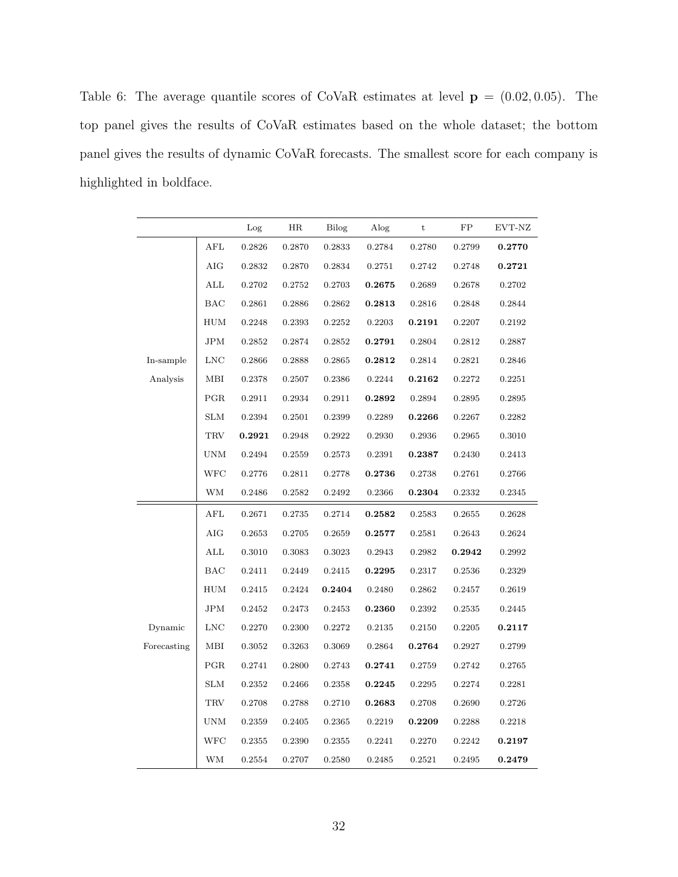<span id="page-31-0"></span>Table 6: The average quantile scores of CoVaR estimates at level  $\mathbf{p} = (0.02, 0.05)$ . The top panel gives the results of CoVaR estimates based on the whole dataset; the bottom panel gives the results of dynamic CoVaR forecasts. The smallest score for each company is highlighted in boldface.

|             |              | Log    | HR     | Bilog  | Alog   | t      | FP           | EVT-NZ |
|-------------|--------------|--------|--------|--------|--------|--------|--------------|--------|
|             | AFL          | 0.2826 | 0.2870 | 0.2833 | 0.2784 | 0.2780 | 0.2799       | 0.2770 |
|             | AIG          | 0.2832 | 0.2870 | 0.2834 | 0.2751 | 0.2742 | 0.2748       | 0.2721 |
|             | ALL          | 0.2702 | 0.2752 | 0.2703 | 0.2675 | 0.2689 | 0.2678       | 0.2702 |
|             | BAC          | 0.2861 | 0.2886 | 0.2862 | 0.2813 | 0.2816 | 0.2848       | 0.2844 |
|             | HUM          | 0.2248 | 0.2393 | 0.2252 | 0.2203 | 0.2191 | 0.2207       | 0.2192 |
|             | JPM          | 0.2852 | 0.2874 | 0.2852 | 0.2791 | 0.2804 | 0.2812       | 0.2887 |
| In-sample   | <b>LNC</b>   | 0.2866 | 0.2888 | 0.2865 | 0.2812 | 0.2814 | 0.2821       | 0.2846 |
| Analysis    | MВI          | 0.2378 | 0.2507 | 0.2386 | 0.2244 | 0.2162 | 0.2272       | 0.2251 |
|             | PGR          | 0.2911 | 0.2934 | 0.2911 | 0.2892 | 0.2894 | 0.2895       | 0.2895 |
|             | <b>SLM</b>   | 0.2394 | 0.2501 | 0.2399 | 0.2289 | 0.2266 | 0.2267       | 0.2282 |
|             | <b>TRV</b>   | 0.2921 | 0.2948 | 0.2922 | 0.2930 | 0.2936 | 0.2965       | 0.3010 |
|             | UNM          | 0.2494 | 0.2559 | 0.2573 | 0.2391 | 0.2387 | 0.2430       | 0.2413 |
|             | WFC          | 0.2776 | 0.2811 | 0.2778 | 0.2736 | 0.2738 | 0.2761       | 0.2766 |
|             | WМ           | 0.2486 | 0.2582 | 0.2492 | 0.2366 | 0.2304 | 0.2332       | 0.2345 |
|             | $_{\rm AFL}$ | 0.2671 | 0.2735 | 0.2714 | 0.2582 | 0.2583 | $\,0.2655\,$ | 0.2628 |
|             | AIG          | 0.2653 | 0.2705 | 0.2659 | 0.2577 | 0.2581 | 0.2643       | 0.2624 |
|             | ALL          | 0.3010 | 0.3083 | 0.3023 | 0.2943 | 0.2982 | 0.2942       | 0.2992 |
|             | BAC          | 0.2411 | 0.2449 | 0.2415 | 0.2295 | 0.2317 | 0.2536       | 0.2329 |
|             | HUM          | 0.2415 | 0.2424 | 0.2404 | 0.2480 | 0.2862 | 0.2457       | 0.2619 |
|             | JPM          | 0.2452 | 0.2473 | 0.2453 | 0.2360 | 0.2392 | 0.2535       | 0.2445 |
| Dynamic     | <b>LNC</b>   | 0.2270 | 0.2300 | 0.2272 | 0.2135 | 0.2150 | 0.2205       | 0.2117 |
| Forecasting | MBI          | 0.3052 | 0.3263 | 0.3069 | 0.2864 | 0.2764 | 0.2927       | 0.2799 |
|             | PGR          | 0.2741 | 0.2800 | 0.2743 | 0.2741 | 0.2759 | 0.2742       | 0.2765 |
|             | <b>SLM</b>   | 0.2352 | 0.2466 | 0.2358 | 0.2245 | 0.2295 | 0.2274       | 0.2281 |
|             | TRV          | 0.2708 | 0.2788 | 0.2710 | 0.2683 | 0.2708 | 0.2690       | 0.2726 |
|             | UNM          | 0.2359 | 0.2405 | 0.2365 | 0.2219 | 0.2209 | 0.2288       | 0.2218 |
|             | WFC          | 0.2355 | 0.2390 | 0.2355 | 0.2241 | 0.2270 | 0.2242       | 0.2197 |
|             | WМ           | 0.2554 | 0.2707 | 0.2580 | 0.2485 | 0.2521 | 0.2495       | 0.2479 |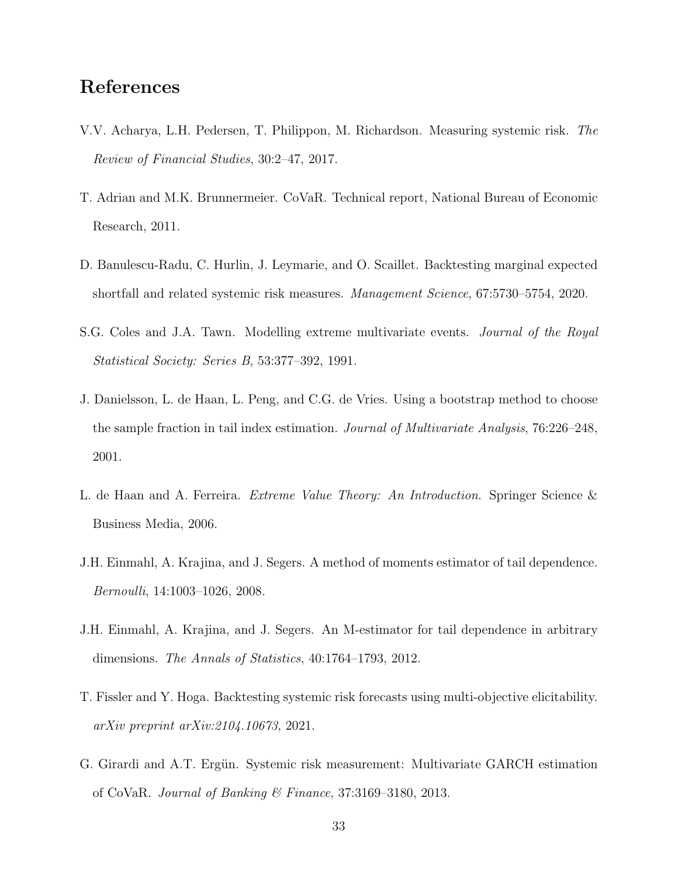## References

- <span id="page-32-7"></span>V.V. Acharya, L.H. Pedersen, T. Philippon, M. Richardson. Measuring systemic risk. The Review of Financial Studies, 30:2–47, 2017.
- <span id="page-32-0"></span>T. Adrian and M.K. Brunnermeier. CoVaR. Technical report, National Bureau of Economic Research, 2011.
- <span id="page-32-8"></span>D. Banulescu-Radu, C. Hurlin, J. Leymarie, and O. Scaillet. Backtesting marginal expected shortfall and related systemic risk measures. Management Science, 67:5730–5754, 2020.
- <span id="page-32-5"></span>S.G. Coles and J.A. Tawn. Modelling extreme multivariate events. Journal of the Royal Statistical Society: Series B, 53:377–392, 1991.
- <span id="page-32-4"></span>J. Danielsson, L. de Haan, L. Peng, and C.G. de Vries. Using a bootstrap method to choose the sample fraction in tail index estimation. Journal of Multivariate Analysis, 76:226–248, 2001.
- <span id="page-32-3"></span>L. de Haan and A. Ferreira. *Extreme Value Theory: An Introduction*. Springer Science & Business Media, 2006.
- <span id="page-32-6"></span>J.H. Einmahl, A. Krajina, and J. Segers. A method of moments estimator of tail dependence. Bernoulli, 14:1003–1026, 2008.
- <span id="page-32-2"></span>J.H. Einmahl, A. Krajina, and J. Segers. An M-estimator for tail dependence in arbitrary dimensions. The Annals of Statistics, 40:1764–1793, 2012.
- <span id="page-32-9"></span>T. Fissler and Y. Hoga. Backtesting systemic risk forecasts using multi-objective elicitability. arXiv preprint [arXiv:2104.10673](http://arxiv.org/abs/2104.10673), 2021.
- <span id="page-32-1"></span>G. Girardi and A.T. Ergün. Systemic risk measurement: Multivariate GARCH estimation of CoVaR. Journal of Banking & Finance, 37:3169–3180, 2013.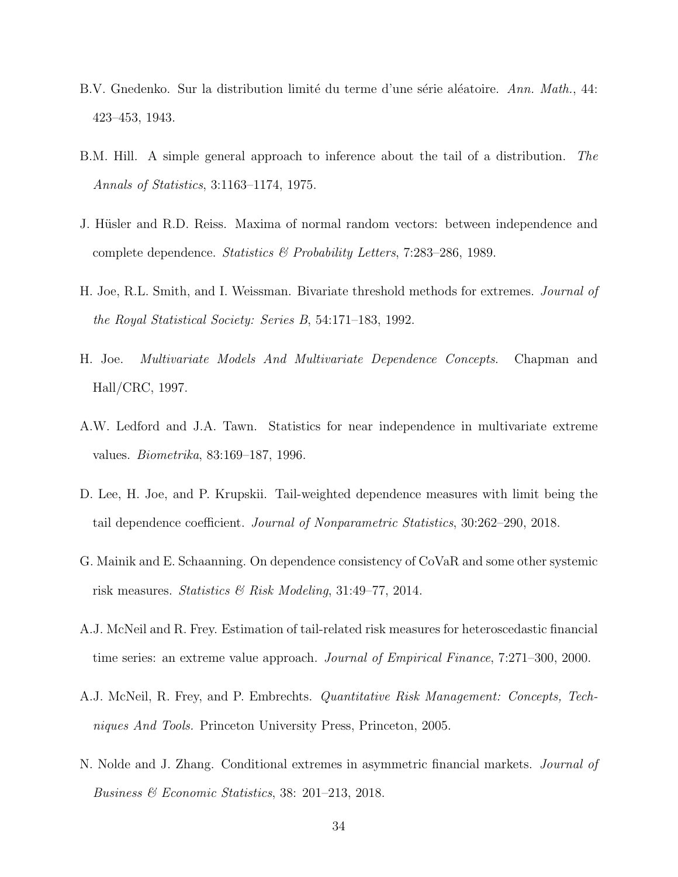- <span id="page-33-2"></span>B.V. Gnedenko. Sur la distribution limité du terme d'une série aléatoire. Ann. Math., 44: 423–453, 1943.
- <span id="page-33-5"></span>B.M. Hill. A simple general approach to inference about the tail of a distribution. The Annals of Statistics, 3:1163–1174, 1975.
- <span id="page-33-8"></span>J. Hüsler and R.D. Reiss. Maxima of normal random vectors: between independence and complete dependence. Statistics & Probability Letters, 7:283–286, 1989.
- <span id="page-33-6"></span>H. Joe, R.L. Smith, and I. Weissman. Bivariate threshold methods for extremes. Journal of the Royal Statistical Society: Series B, 54:171–183, 1992.
- <span id="page-33-3"></span>H. Joe. Multivariate Models And Multivariate Dependence Concepts. Chapman and Hall/CRC, 1997.
- <span id="page-33-7"></span>A.W. Ledford and J.A. Tawn. Statistics for near independence in multivariate extreme values. Biometrika, 83:169–187, 1996.
- <span id="page-33-10"></span>D. Lee, H. Joe, and P. Krupskii. Tail-weighted dependence measures with limit being the tail dependence coefficient. Journal of Nonparametric Statistics, 30:262–290, 2018.
- <span id="page-33-0"></span>G. Mainik and E. Schaanning. On dependence consistency of CoVaR and some other systemic risk measures. Statistics & Risk Modeling, 31:49–77, 2014.
- <span id="page-33-9"></span>A.J. McNeil and R. Frey. Estimation of tail-related risk measures for heteroscedastic financial time series: an extreme value approach. *Journal of Empirical Finance*, 7:271–300, 2000.
- <span id="page-33-4"></span>A.J. McNeil, R. Frey, and P. Embrechts. Quantitative Risk Management: Concepts, Techniques And Tools. Princeton University Press, Princeton, 2005.
- <span id="page-33-1"></span>N. Nolde and J. Zhang. Conditional extremes in asymmetric financial markets. Journal of Business & Economic Statistics, 38: 201–213, 2018.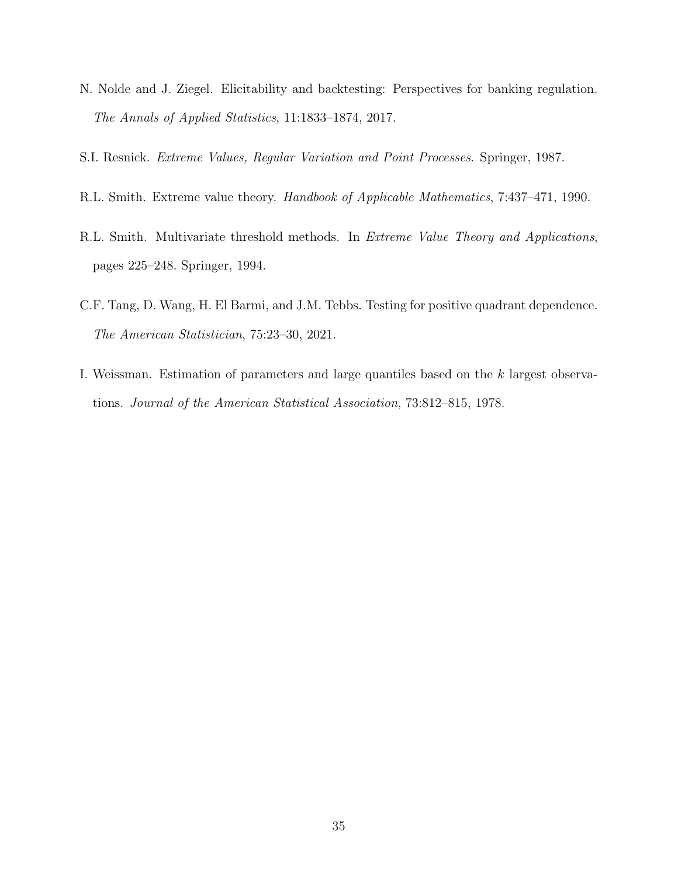- <span id="page-34-5"></span>N. Nolde and J. Ziegel. Elicitability and backtesting: Perspectives for banking regulation. The Annals of Applied Statistics, 11:1833–1874, 2017.
- <span id="page-34-3"></span><span id="page-34-2"></span>S.I. Resnick. Extreme Values, Regular Variation and Point Processes. Springer, 1987.
- R.L. Smith. Extreme value theory. Handbook of Applicable Mathematics, 7:437–471, 1990.
- <span id="page-34-1"></span>R.L. Smith. Multivariate threshold methods. In Extreme Value Theory and Applications, pages 225–248. Springer, 1994.
- <span id="page-34-4"></span>C.F. Tang, D. Wang, H. El Barmi, and J.M. Tebbs. Testing for positive quadrant dependence. The American Statistician, 75:23–30, 2021.
- <span id="page-34-0"></span>I. Weissman. Estimation of parameters and large quantiles based on the k largest observations. Journal of the American Statistical Association, 73:812–815, 1978.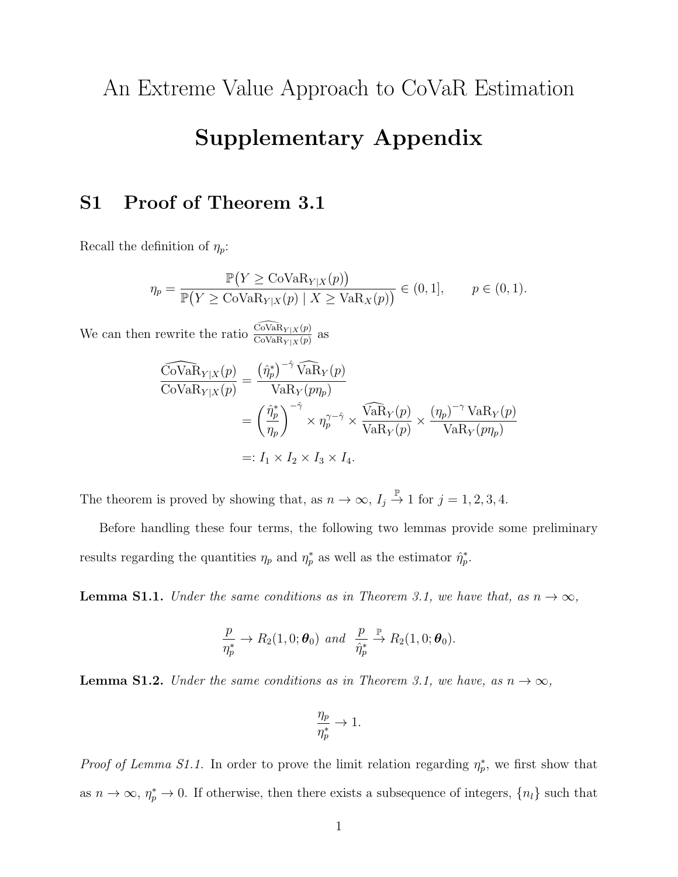An Extreme Value Approach to CoVaR Estimation

# Supplementary Appendix

# S1 Proof of Theorem 3.1

Recall the definition of  $\eta_p$ :

$$
\eta_p = \frac{\mathbb{P}(Y \ge \text{Cov}_{\text{aR}_{Y|X}(p)})}{\mathbb{P}(Y \ge \text{Cov}_{\text{aR}_{Y|X}(p) \mid X \ge \text{Va}_{X}(p))} \in (0,1], \qquad p \in (0,1).
$$

We can then rewrite the ratio  $\frac{\widehat{\text{Cov}}_{\text{aR}_Y|X}(p)}{\text{Cov}_{\text{aR}_Y|X}(p)}$  as

$$
\frac{\widehat{\text{Cov}}_k R_{Y|X}(p)}{\text{Cov}} = \frac{(\hat{\eta}_p^*)^{-\hat{\gamma}} \widehat{\text{Va}}_Y(p)}{\text{VaR}_Y(p\eta_p)}
$$
  
= 
$$
\left(\frac{\hat{\eta}_p^*}{\eta_p}\right)^{-\hat{\gamma}} \times \eta_p^{\gamma-\hat{\gamma}} \times \frac{\widehat{\text{Va}}_Y(p)}{\text{VaR}_Y(p)} \times \frac{(\eta_p)^{-\gamma} \text{VaR}_Y(p)}{\text{VaR}_Y(p\eta_p)}
$$
  
=:  $I_1 \times I_2 \times I_3 \times I_4$ .

The theorem is proved by showing that, as  $n \to \infty$ ,  $I_j \overset{\mathbb{P}}{\to} 1$  for  $j = 1, 2, 3, 4$ .

Before handling these four terms, the following two lemmas provide some preliminary results regarding the quantities  $\eta_p$  and  $\eta_p^*$  as well as the estimator  $\hat{\eta}_p^*$ .

**Lemma S1.1.** Under the same conditions as in Theorem 3.1, we have that, as  $n \to \infty$ ,

$$
\frac{p}{\eta_p^*} \to R_2(1,0;\boldsymbol{\theta}_0) \ \ and \ \ \frac{p}{\hat{\eta}_p^*} \xrightarrow{\mathbb{P}} R_2(1,0;\boldsymbol{\theta}_0).
$$

**Lemma S1.2.** Under the same conditions as in Theorem 3.1, we have, as  $n \to \infty$ ,

$$
\frac{\eta_p}{\eta_p^*} \to 1.
$$

*Proof of Lemma S1.1.* In order to prove the limit relation regarding  $\eta_p^*$ , we first show that as  $n \to \infty$ ,  $\eta_p^* \to 0$ . If otherwise, then there exists a subsequence of integers,  $\{n_l\}$  such that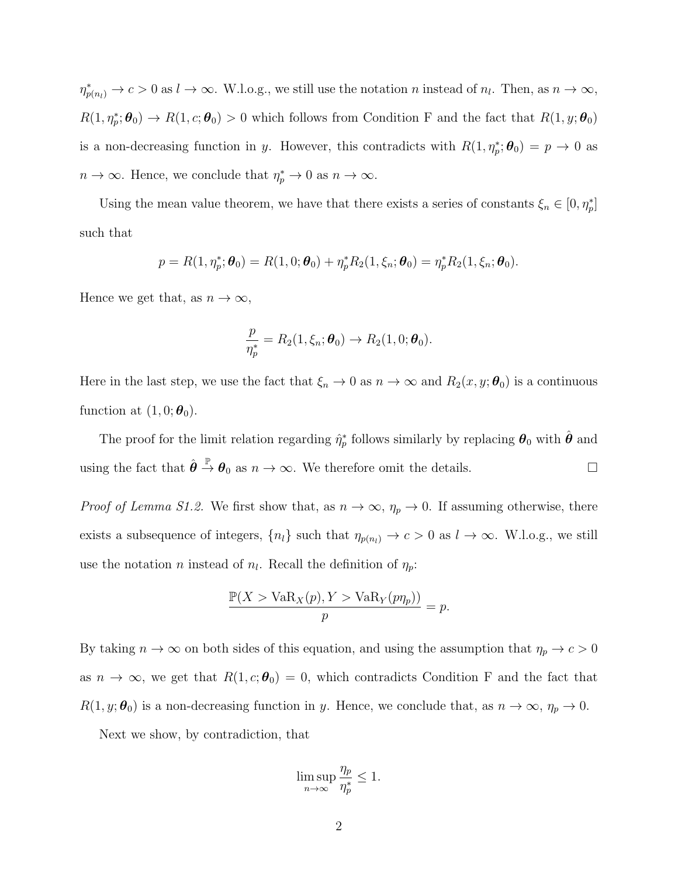$\eta_{p(n_l)}^* \to c > 0$  as  $l \to \infty$ . W.l.o.g., we still use the notation n instead of  $n_l$ . Then, as  $n \to \infty$ ,  $R(1,\eta_p^*;\theta_0) \to R(1,c;\theta_0) > 0$  which follows from Condition F and the fact that  $R(1,y;\theta_0)$ is a non-decreasing function in y. However, this contradicts with  $R(1, \eta_p^*;\boldsymbol{\theta}_0) = p \to 0$  as  $n \to \infty$ . Hence, we conclude that  $\eta_p^* \to 0$  as  $n \to \infty$ .

Using the mean value theorem, we have that there exists a series of constants  $\xi_n \in [0, \eta_p^*]$ such that

$$
p = R(1, \eta_p^*; \boldsymbol{\theta}_0) = R(1, 0; \boldsymbol{\theta}_0) + \eta_p^* R_2(1, \xi_n; \boldsymbol{\theta}_0) = \eta_p^* R_2(1, \xi_n; \boldsymbol{\theta}_0).
$$

Hence we get that, as  $n \to \infty$ ,

$$
\frac{p}{\eta_p^*}=R_2(1,\xi_n;\boldsymbol{\theta}_0)\to R_2(1,0;\boldsymbol{\theta}_0).
$$

Here in the last step, we use the fact that  $\xi_n \to 0$  as  $n \to \infty$  and  $R_2(x, y; \theta_0)$  is a continuous function at  $(1, 0; \boldsymbol{\theta}_0)$ .

The proof for the limit relation regarding  $\hat{\eta}_p^*$  follows similarly by replacing  $\theta_0$  with  $\hat{\theta}$  and using the fact that  $\hat{\theta} \stackrel{\mathbb{P}}{\rightarrow} \theta_0$  as  $n \to \infty$ . We therefore omit the details.

*Proof of Lemma S1.2.* We first show that, as  $n \to \infty$ ,  $\eta_p \to 0$ . If assuming otherwise, there exists a subsequence of integers,  $\{n_l\}$  such that  $\eta_{p(n_l)} \to c > 0$  as  $l \to \infty$ . W.l.o.g., we still use the notation *n* instead of  $n_l$ . Recall the definition of  $\eta_p$ :

$$
\frac{\mathbb{P}(X > \text{VaR}_X(p), Y > \text{VaR}_Y(p\eta_p))}{p} = p.
$$

By taking  $n \to \infty$  on both sides of this equation, and using the assumption that  $\eta_p \to c > 0$ as  $n \to \infty$ , we get that  $R(1, c; \theta_0) = 0$ , which contradicts Condition F and the fact that  $R(1, y; \theta_0)$  is a non-decreasing function in y. Hence, we conclude that, as  $n \to \infty$ ,  $\eta_p \to 0$ .

Next we show, by contradiction, that

$$
\limsup_{n \to \infty} \frac{\eta_p}{\eta_p^*} \le 1.
$$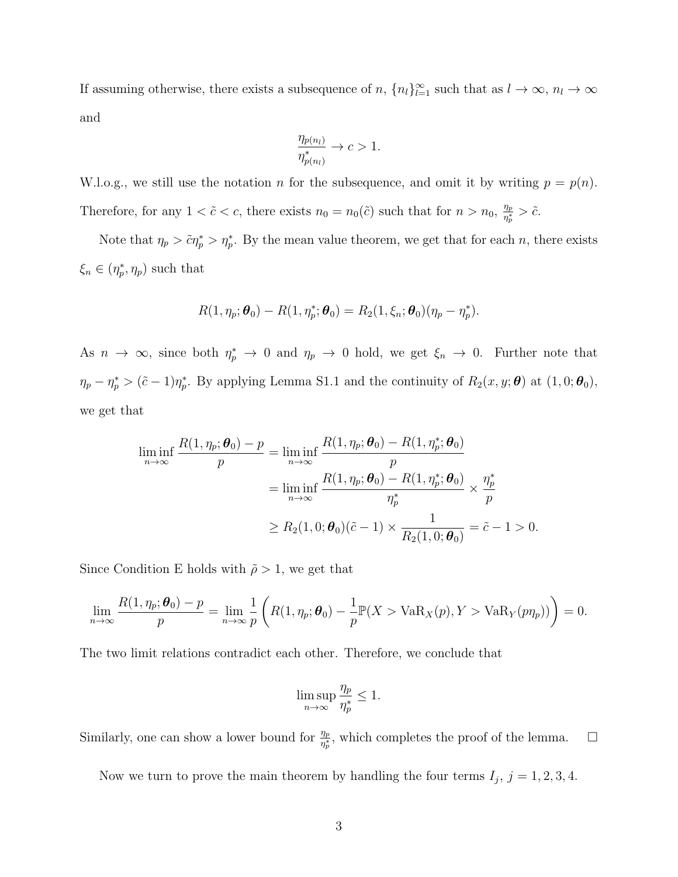If assuming otherwise, there exists a subsequence of  $n$ ,  $\{n_l\}_{l=1}^{\infty}$  such that as  $l \to \infty$ ,  $n_l \to \infty$ and

$$
\frac{\eta_{p(n_l)}}{\eta_{p(n_l)}^*} \to c > 1.
$$

W.l.o.g., we still use the notation n for the subsequence, and omit it by writing  $p = p(n)$ . Therefore, for any  $1 < \tilde{c} < c$ , there exists  $n_0 = n_0(\tilde{c})$  such that for  $n > n_0$ ,  $\frac{\eta_p}{n^*}$  $\frac{\eta_p}{\eta_p^*} > \tilde{c}.$ 

Note that  $\eta_p > \tilde{c}\eta_p^* > \eta_p^*$ . By the mean value theorem, we get that for each n, there exists  $\xi_n \in (\eta_p^*, \eta_p)$  such that

$$
R(1, \eta_p; \boldsymbol{\theta}_0) - R(1, \eta_p^*; \boldsymbol{\theta}_0) = R_2(1, \xi_n; \boldsymbol{\theta}_0)(\eta_p - \eta_p^*).
$$

As  $n \to \infty$ , since both  $\eta_p^* \to 0$  and  $\eta_p \to 0$  hold, we get  $\xi_n \to 0$ . Further note that  $\eta_p - \eta_p^* > (\tilde{c} - 1)\eta_p^*$ . By applying Lemma S1.1 and the continuity of  $R_2(x, y; \theta)$  at  $(1, 0; \theta_0)$ , we get that

$$
\liminf_{n \to \infty} \frac{R(1, \eta_p; \boldsymbol{\theta}_0) - p}{p} = \liminf_{n \to \infty} \frac{R(1, \eta_p; \boldsymbol{\theta}_0) - R(1, \eta_p^*; \boldsymbol{\theta}_0)}{p}
$$

$$
= \liminf_{n \to \infty} \frac{R(1, \eta_p; \boldsymbol{\theta}_0) - R(1, \eta_p^*; \boldsymbol{\theta}_0)}{\eta_p^*} \times \frac{\eta_p^*}{p}
$$

$$
\ge R_2(1, 0; \boldsymbol{\theta}_0)(\tilde{c} - 1) \times \frac{1}{R_2(1, 0; \boldsymbol{\theta}_0)} = \tilde{c} - 1 > 0.
$$

Since Condition E holds with  $\tilde{\rho} > 1$ , we get that

$$
\lim_{n\to\infty}\frac{R(1,\eta_p;\boldsymbol{\theta}_0)-p}{p}=\lim_{n\to\infty}\frac{1}{p}\left(R(1,\eta_p;\boldsymbol{\theta}_0)-\frac{1}{p}\mathbb{P}(X>\text{VaR}_X(p),Y>\text{VaR}_Y(p\eta_p))\right)=0.
$$

The two limit relations contradict each other. Therefore, we conclude that

$$
\limsup_{n \to \infty} \frac{\eta_p}{\eta_p^*} \le 1.
$$

Similarly, one can show a lower bound for  $\frac{\eta_p}{\eta_p^*}$ , which completes the proof of the lemma.  $\Box$ 

Now we turn to prove the main theorem by handling the four terms  $I_j$ ,  $j = 1, 2, 3, 4$ .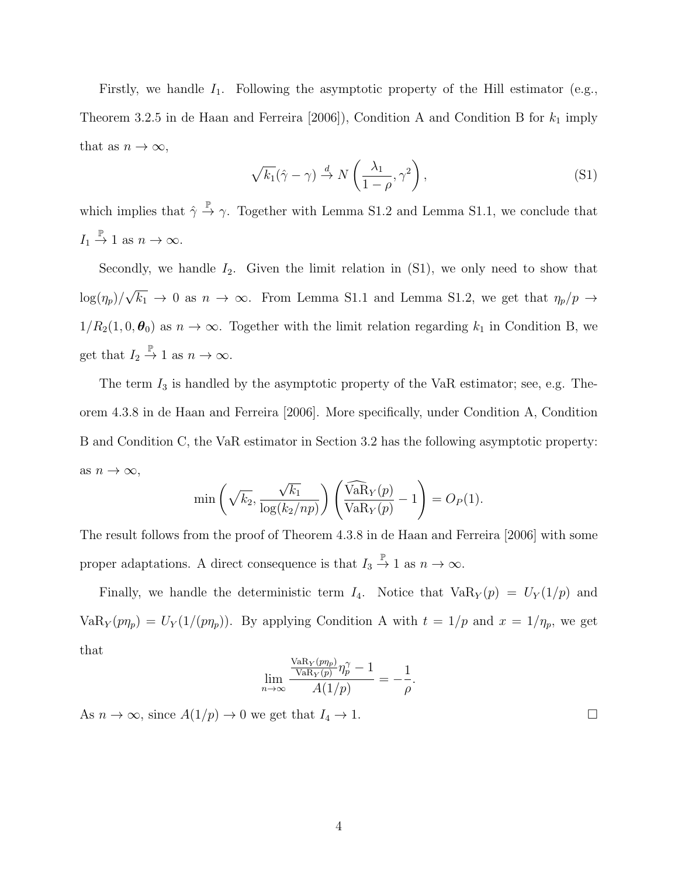Firstly, we handle  $I_1$ . Following the asymptotic property of the Hill estimator (e.g., Theorem 3.2.5 in de Haan and Ferreira [2006]), Condition A and Condition B for  $k_1$  imply that as  $n \to \infty$ ,

$$
\sqrt{k_1}(\hat{\gamma} - \gamma) \stackrel{d}{\rightarrow} N\left(\frac{\lambda_1}{1 - \rho}, \gamma^2\right),\tag{S1}
$$

which implies that  $\hat{\gamma} \stackrel{\mathbb{P}}{\rightarrow} \gamma$ . Together with Lemma S1.2 and Lemma S1.1, we conclude that  $I_1 \stackrel{\mathbb{P}}{\rightarrow} 1$  as  $n \rightarrow \infty$ .

Secondly, we handle  $I_2$ . Given the limit relation in  $(S1)$ , we only need to show that  $\log(\eta_p)/$ √  $\overline{k_1} \rightarrow 0$  as  $n \rightarrow \infty$ . From Lemma S1.1 and Lemma S1.2, we get that  $\eta_p/p \rightarrow$  $1/R_2(1, 0, \theta_0)$  as  $n \to \infty$ . Together with the limit relation regarding  $k_1$  in Condition B, we get that  $I_2 \stackrel{\mathbb{P}}{\rightarrow} 1$  as  $n \rightarrow \infty$ .

The term  $I_3$  is handled by the asymptotic property of the VaR estimator; see, e.g. Theorem 4.3.8 in de Haan and Ferreira [2006]. More specifically, under Condition A, Condition B and Condition C, the VaR estimator in Section 3.2 has the following asymptotic property: as  $n \to \infty$ ,

$$
\min\left(\sqrt{k_2}, \frac{\sqrt{k_1}}{\log(k_2/np)}\right)\left(\frac{\widehat{\text{VaR}}_Y(p)}{\text{VaR}_Y(p)} - 1\right) = O_P(1).
$$

The result follows from the proof of Theorem 4.3.8 in de Haan and Ferreira [2006] with some proper adaptations. A direct consequence is that  $I_3 \stackrel{\mathbb{P}}{\rightarrow} 1$  as  $n \rightarrow \infty$ .

Finally, we handle the deterministic term  $I_4$ . Notice that  $VaR_Y(p) = U_Y(1/p)$  and  $VaR_Y(p\eta_p) = U_Y(1/(p\eta_p)).$  By applying Condition A with  $t = 1/p$  and  $x = 1/\eta_p$ , we get that

$$
\lim_{n \to \infty} \frac{\frac{\text{VaR}_{Y}(p\eta_{p})}{\text{VaR}_{Y}(p)} \eta_{p}^{\gamma} - 1}{A(1/p)} = -\frac{1}{\rho}.
$$

As  $n \to \infty$ , since  $A(1/p) \to 0$  we get that  $I_4 \to 1$ .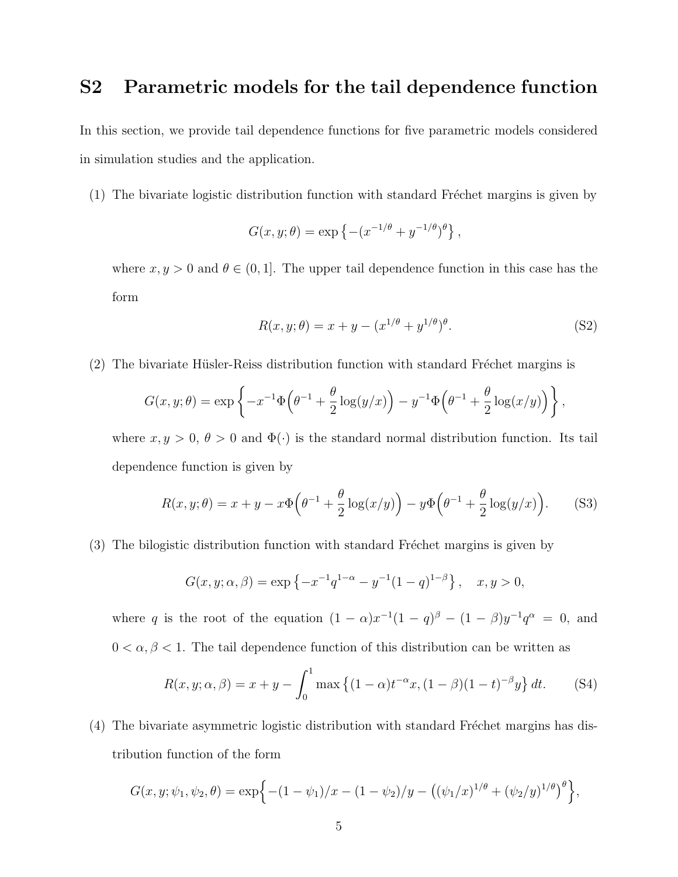# S2 Parametric models for the tail dependence function

In this section, we provide tail dependence functions for five parametric models considered in simulation studies and the application.

 $(1)$  The bivariate logistic distribution function with standard Fréchet margins is given by

$$
G(x, y; \theta) = \exp \{ -(x^{-1/\theta} + y^{-1/\theta})^{\theta} \},
$$

where  $x, y > 0$  and  $\theta \in (0, 1]$ . The upper tail dependence function in this case has the form

$$
R(x, y; \theta) = x + y - (x^{1/\theta} + y^{1/\theta})^{\theta}.
$$
 (S2)

 $(2)$  The bivariate Hüsler-Reiss distribution function with standard Fréchet margins is

$$
G(x, y; \theta) = \exp\left\{-x^{-1}\Phi\left(\theta^{-1} + \frac{\theta}{2}\log(y/x)\right) - y^{-1}\Phi\left(\theta^{-1} + \frac{\theta}{2}\log(x/y)\right)\right\},\,
$$

where  $x, y > 0, \theta > 0$  and  $\Phi(\cdot)$  is the standard normal distribution function. Its tail dependence function is given by

$$
R(x, y; \theta) = x + y - x\Phi\left(\theta^{-1} + \frac{\theta}{2}\log(x/y)\right) - y\Phi\left(\theta^{-1} + \frac{\theta}{2}\log(y/x)\right). \tag{S3}
$$

(3) The bilogistic distribution function with standard Fréchet margins is given by

$$
G(x, y; \alpha, \beta) = \exp \left\{ -x^{-1}q^{1-\alpha} - y^{-1}(1-q)^{1-\beta} \right\}, \quad x, y > 0,
$$

where q is the root of the equation  $(1 - \alpha)x^{-1}(1 - q)^{\beta} - (1 - \beta)y^{-1}q^{\alpha} = 0$ , and  $0<\alpha,\beta<1.$  The tail dependence function of this distribution can be written as

$$
R(x, y; \alpha, \beta) = x + y - \int_0^1 \max\left\{ (1 - \alpha)t^{-\alpha} x, (1 - \beta)(1 - t)^{-\beta} y \right\} dt.
$$
 (S4)

 $(4)$  The bivariate asymmetric logistic distribution with standard Fréchet margins has distribution function of the form

$$
G(x, y; \psi_1, \psi_2, \theta) = \exp\left\{-(1-\psi_1)/x - (1-\psi_2)/y - ((\psi_1/x)^{1/\theta} + (\psi_2/y)^{1/\theta})^{\theta}\right\},\
$$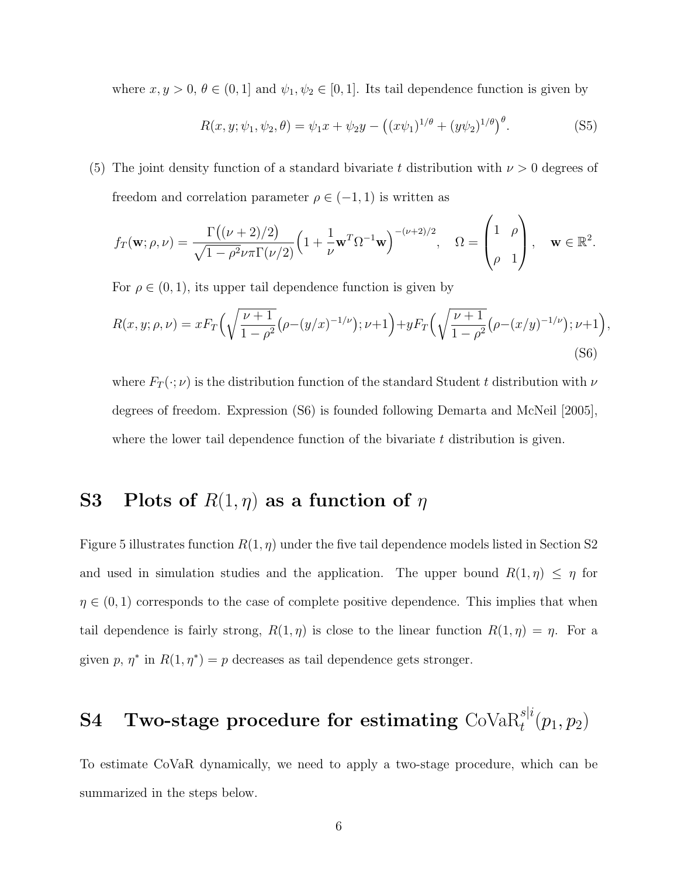where  $x, y > 0, \theta \in (0, 1]$  and  $\psi_1, \psi_2 \in [0, 1]$ . Its tail dependence function is given by

$$
R(x, y; \psi_1, \psi_2, \theta) = \psi_1 x + \psi_2 y - ((x\psi_1)^{1/\theta} + (y\psi_2)^{1/\theta})^{\theta}.
$$
 (S5)

 $\overline{ }$ 

 $\lambda$ 

(5) The joint density function of a standard bivariate t distribution with  $\nu > 0$  degrees of freedom and correlation parameter  $\rho \in (-1, 1)$  is written as

$$
f_T(\mathbf{w}; \rho, \nu) = \frac{\Gamma((\nu+2)/2)}{\sqrt{1-\rho^2}\nu\pi\Gamma(\nu/2)} \Big(1 + \frac{1}{\nu}\mathbf{w}^T\Omega^{-1}\mathbf{w}\Big)^{-(\nu+2)/2}, \quad \Omega = \begin{pmatrix} 1 & \rho \\ \rho & 1 \end{pmatrix}, \quad \mathbf{w} \in \mathbb{R}^2.
$$

For  $\rho \in (0,1)$ , its upper tail dependence function is given by

$$
R(x, y; \rho, \nu) = x F_T \left( \sqrt{\frac{\nu + 1}{1 - \rho^2}} (\rho - (y/x)^{-1/\nu}); \nu + 1 \right) + y F_T \left( \sqrt{\frac{\nu + 1}{1 - \rho^2}} (\rho - (x/y)^{-1/\nu}); \nu + 1 \right),
$$
\n(S6)

where  $F_T(\cdot;\nu)$  is the distribution function of the standard Student t distribution with  $\nu$ degrees of freedom. Expression (S6) is founded following Demarta and McNeil [2005], where the lower tail dependence function of the bivariate  $t$  distribution is given.

# S3 Plots of  $R(1, \eta)$  as a function of  $\eta$

Figure 5 illustrates function  $R(1, \eta)$  under the five tail dependence models listed in Section S2 and used in simulation studies and the application. The upper bound  $R(1, \eta) \leq \eta$  for  $\eta \in (0,1)$  corresponds to the case of complete positive dependence. This implies that when tail dependence is fairly strong,  $R(1, \eta)$  is close to the linear function  $R(1, \eta) = \eta$ . For a given p,  $\eta^*$  in  $R(1, \eta^*) = p$  decreases as tail dependence gets stronger.

# $\bf S4\quad \textbf{Two-stage procedure for estimating } \mathrm{CoVaR}_t^{sli}(p_1,p_2)$

To estimate CoVaR dynamically, we need to apply a two-stage procedure, which can be summarized in the steps below.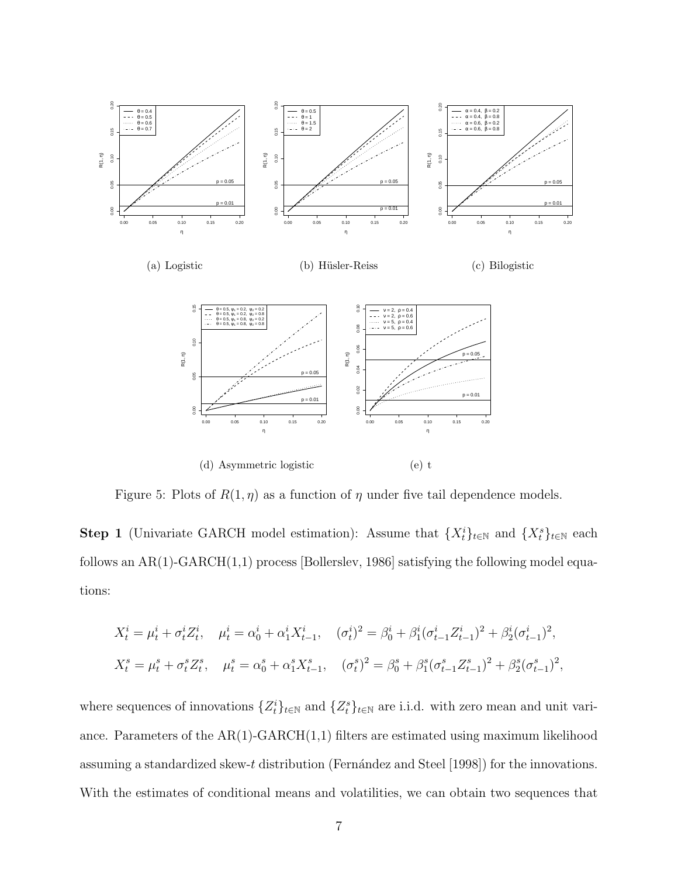

Figure 5: Plots of  $R(1, \eta)$  as a function of  $\eta$  under five tail dependence models.

**Step 1** (Univariate GARCH model estimation): Assume that  $\{X_t^i\}_{t\in\mathbb{N}}$  and  $\{X_t^s\}_{t\in\mathbb{N}}$  each follows an  $AR(1)$ -GARCH $(1,1)$  process [Bollerslev, 1986] satisfying the following model equations:

$$
X_t^i = \mu_t^i + \sigma_t^i Z_t^i, \quad \mu_t^i = \alpha_0^i + \alpha_1^i X_{t-1}^i, \quad (\sigma_t^i)^2 = \beta_0^i + \beta_1^i (\sigma_{t-1}^i Z_{t-1}^i)^2 + \beta_2^i (\sigma_{t-1}^i)^2,
$$
  

$$
X_t^s = \mu_t^s + \sigma_t^s Z_t^s, \quad \mu_t^s = \alpha_0^s + \alpha_1^s X_{t-1}^s, \quad (\sigma_t^s)^2 = \beta_0^s + \beta_1^s (\sigma_{t-1}^s Z_{t-1}^s)^2 + \beta_2^s (\sigma_{t-1}^s)^2,
$$

where sequences of innovations  $\{Z_t^i\}_{t\in\mathbb{N}}$  and  $\{Z_t^s\}_{t\in\mathbb{N}}$  are i.i.d. with zero mean and unit variance. Parameters of the  $AR(1)-GARCH(1,1)$  filters are estimated using maximum likelihood assuming a standardized skew-t distribution (Fernández and Steel [1998]) for the innovations. With the estimates of conditional means and volatilities, we can obtain two sequences that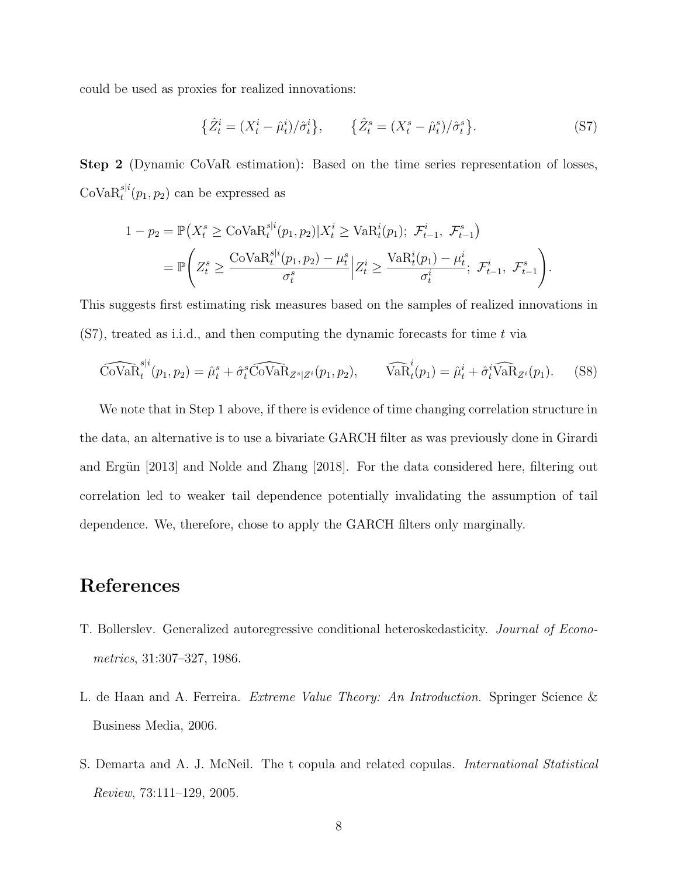could be used as proxies for realized innovations:

$$
\{\hat{Z}_t^i = (X_t^i - \hat{\mu}_t^i) / \hat{\sigma}_t^i\}, \qquad \{\hat{Z}_t^s = (X_t^s - \hat{\mu}_t^s) / \hat{\sigma}_t^s\}.
$$
 (S7)

Step 2 (Dynamic CoVaR estimation): Based on the time series representation of losses,  $\text{CoVaR}_{t}^{s|i}(p_1, p_2)$  can be expressed as

$$
1 - p_2 = \mathbb{P}\left(X_t^s \geq \text{Cov}_{\text{AR}_t}^{s|i}(p_1, p_2) | X_t^i \geq \text{VaR}_t^i(p_1); \ \mathcal{F}_{t-1}^i, \ \mathcal{F}_{t-1}^s \right)
$$
  
= 
$$
\mathbb{P}\left(Z_t^s \geq \frac{\text{Cov}_{\text{AR}_t}^{s|i}(p_1, p_2) - \mu_t^s}{\sigma_t^s} | Z_t^i \geq \frac{\text{VaR}_t^i(p_1) - \mu_t^i}{\sigma_t^i}; \ \mathcal{F}_{t-1}^i, \ \mathcal{F}_{t-1}^s \right).
$$

This suggests first estimating risk measures based on the samples of realized innovations in  $(S7)$ , treated as i.i.d., and then computing the dynamic forecasts for time t via

$$
\widehat{\text{Cov}}\widehat{\text{R}}_t^{s|i}(p_1, p_2) = \widehat{\mu}_t^s + \widehat{\sigma}_t^s \widehat{\text{Cov}}\widehat{\text{R}}_{Z^s|Z^i}(p_1, p_2), \qquad \widehat{\text{VaR}}_t^i(p_1) = \widehat{\mu}_t^i + \widehat{\sigma}_t^i \widehat{\text{VaR}}_{Z^i}(p_1). \tag{S8}
$$

We note that in Step 1 above, if there is evidence of time changing correlation structure in the data, an alternative is to use a bivariate GARCH filter as was previously done in Girardi and Ergün [2013] and Nolde and Zhang [2018]. For the data considered here, filtering out correlation led to weaker tail dependence potentially invalidating the assumption of tail dependence. We, therefore, chose to apply the GARCH filters only marginally.

### References

- T. Bollerslev. Generalized autoregressive conditional heteroskedasticity. Journal of Econometrics, 31:307–327, 1986.
- L. de Haan and A. Ferreira. *Extreme Value Theory: An Introduction*. Springer Science & Business Media, 2006.
- S. Demarta and A. J. McNeil. The t copula and related copulas. International Statistical Review, 73:111–129, 2005.